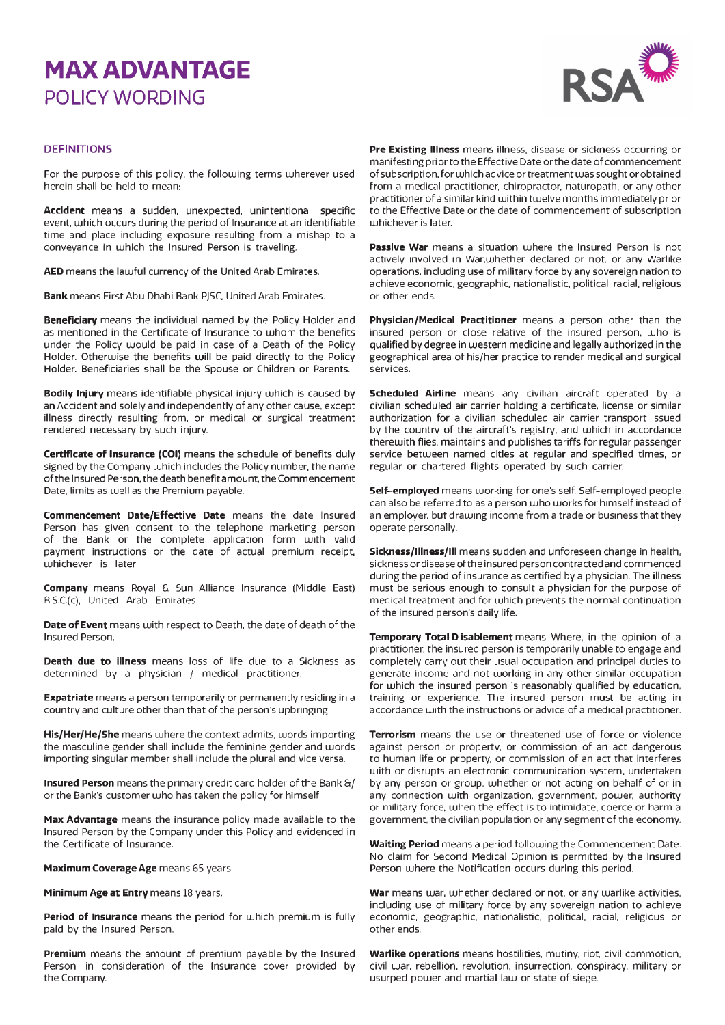# **MAX ADVANTAGE**  POLICY WORDING



#### **DEFINITIONS**

For the purpose of this policy, the following terms wherever used herein shall be held to mean:

**Accident** means a sudden, unexpected, unintentional, specific event, which occurs during the period of Insurance at an identifiable time and place including exposure resulting from a mishap to a conveyance in which the Insured Person is traveling.

**AED** means the lawful currency of the United Arab Emirates.

**Bank** means First Abu Dhabi Bank PJSC, United Arab Emirates.

**Beneficiary** means the individual named by the Policy Holder and as mentioned in the Certificate of Insurance to whom the benefits under the Policy would be paid in case of a Death of the Policy Holder. Otherwise the benefits will be paid directly to the Policy Holder. Beneficiaries shall be the Spouse or Children or Parents.

**Bodily Injury** means identifiable physical injury which is caused by an Accident and solely and independently of any other cause, except illness directly resulting from, or medical or surgical treatment rendered necessary by such injury.

**Certificate of Insurance (COI)** means the schedule of benefits duly signed by the Company which includes the Policy number, the name of the Insured Person, the death benefit amount, the Commencement Date, limits as well as the Premium payable.

**Commencement Date/Effective Date** means the date Insured Person has given consent to the telephone marketing person of the Bank or the complete application form with valid payment instructions or the date of actual premium receipt, whichever is later.

**Company** means Royal & Sun Alliance Insurance (Middle East) B.S.C.(c), United Arab Emirates.

**Date of Event** means with respect to Death, the date of death of the Insured Person.

**Death due to illness** means loss of life due to a Sickness as determined by a physician / medical practitioner.

**Expatriate** means a person temporarily or permanently residing in a country and culture other than that of the person's upbringing.

**His/Her/He/She** means where the context admits, words importing the masculine gender shall include the feminine gender and words importing singular member shall include the plural and vice versa.

**Insured Person** means the primary credit card holder of the Bank &/ or the Bank's customer who has taken the policy for himself

**Max Advantage** means the insurance policy made available to the Insured Person by the Company under this Policy and evidenced in the Certificate of Insurance.

**Maximum Coverage Age** means 65 years.

**Minimum Age at Entry** means 18 years.

**Period of Insurance** means the period for which premium is fully paid by the Insured Person.

**Premium** means the amount of premium payable by the Insured Person, in consideration of the Insurance cover provided by the Company.

**Pre Existing Illness** means illness, disease or sickness occurring or manifesting priorto the Effective Date orthe date of commencement ofsubscription, for which advice or treatment was sought or obtained from a medical practitioner, chiropractor, naturopath, or any other practitioner of a similar kind within twelve months immediately prior to the Effective Date or the date of commencement of subscription whichever is later.

**Passive War** means a situation where the Insured Person is not actively involved in War,whether declared or not, or any Warlike operations, including use of military force by any sovereign nation to achieve economic, geographic, nationalistic, political, racial, religious or other ends.

**Physician/Medical Practitioner** means a person other than the insured person or close relative of the insured person, who is qualified by degree in western medicine and legally authorized in the geographical area of his/her practice to render medical and surgical services.

**Scheduled Airline** means any civilian aircraft operated by a civilian scheduled air carrier holding a certificate, license or similar authorization for a civilian scheduled air carrier transport issued by the country of the aircraft's registry, and which in accordance therewith flies, maintains and publishes tariffs for regular passenger service between named cities at regular and specified times, or regular or chartered flights operated by such carrier.

**Self-employed** means working for one's self. Self-employed people can also be referred to as a person who works for himself instead of an employer, but drawing income from a trade or business that they operate personally.

**Sickness/Illness/Ill** means sudden and unforeseen change in health, sickness or disease ofthe insured person contracted and commenced during the period of insurance as certified by a physician. The illness must be serious enough to consult a physician for the purpose of medical treatment and for which prevents the normal continuation of the insured person's daily life.

**Temporary Total Disablement** means Where, in the opinion of a practitioner, the insured person is temporarily unable to engage and completely carry out their usual occupation and principal duties to generate income and not working in any other similar occupation for which the insured person is reasonably qualified by education, training or experience. The insured person must be acting in accordance with the instructions or advice of a medical practitioner.

**Terrorism** means the use or threatened use of force or violence against person or property, or commission of an act dangerous to human life or property, or commission of an act that interferes with or disrupts an electronic communication system, undertaken by any person or group, whether or not acting on behalf of or in any connection with organization, government, power, authority or military force, when the effect is to intimidate, coerce or harm a government, the civilian population or any segment of the economy.

**Waiting Period** means a period following the Commencement Date. No claim for Second Medical Opinion is permitted by the Insured Person where the Notification occurs during this period.

**War** means war, whether declared or not, or any warlike activities, including use of military force by any sovereign nation to achieve economic, geographic, nationalistic, political, racial, religious or other ends.

**Warlike operations** means hostilities, mutiny, riot, civil commotion, civil war, rebellion, revolution, insurrection, conspiracy, military or usurped power and martial law or state of siege.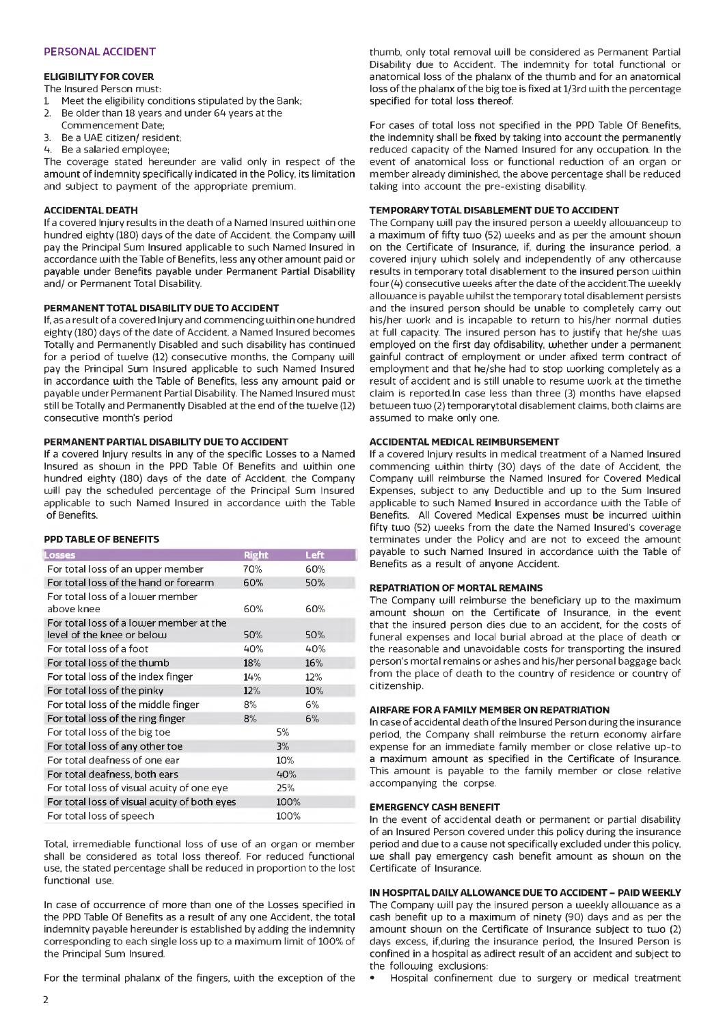#### PERSONAL ACCIDENT

#### **ELIGIBILITY FOR COVER**

The Insured Person must:

- 1. Meet the eligibility conditions stipulated by the Bank:<br>2. Be older than 18 years and under 64 years at the
- Be older than 18 years and under 64 years at the
- Commencement Date;
- 3. Be a UAE citizen/ resident;
- 4. Be a salaried employee;

The coverage stated hereunder are valid only in respect of the amount of indemnity specifically indicated in the Policy, its limitation and subject to payment of the appropriate premium.

#### **ACCIDENTAL DEATH**

If a covered Injury results in the death of a Named Insured within one hundred eighty (180) days of the date of Accident, the Company will pay the Principal Sum Insured applicable to such Named Insured in accordance with the Table of Benefits, less any other amount paid or payable under Benefits payable under Permanent Partial Disability and/ or Permanent Total Disability.

#### **PERMANENT TOTAL DISABILITY DUE TO ACCIDENT**

If, as a result of a covered Injury and commencing within one hundred eighty (180) days of the date of Accident, a Named Insured becomes Totally and Permanently Disabled and such disability has continued for a period of twelve (12) consecutive months, the Company will pay the Principal Sum insured applicable to such Named Insured in accordance with the Table of Benefits, less any amount paid or payable under Permanent Partial Disability. The Named Insured must still be Totally and Permanently Disabled at the end of the twelve (12) consecutive month's period

#### **PERMANENT PARTIAL DISABILITY DUE TO ACCIDENT**

If a covered Injury results in any of the specific Losses to a Named Insured as shown in the PPD Table Of Benefits and within one hundred eighty (180) days of the date of Accident, the Company will pay the scheduled percentage of the Principal Sum Insured applicable to such Named Insured in accordance with the Table of Benefits.

#### **PPD TABLE OF BENEFITS**

| Losses                                       | <b>Right</b> |      | Left |
|----------------------------------------------|--------------|------|------|
| For total loss of an upper member            | 70%          |      | 60%  |
| For total loss of the hand or forearm        | 60%          |      | 50%  |
| For total loss of a lower member             |              |      |      |
| above knee                                   | 60%          |      | 60%  |
| For total loss of a lower member at the      |              |      |      |
| level of the knee or below                   | 50%          |      | 50%  |
| For total loss of a foot                     | 40%          |      | 40%  |
| For total loss of the thumb                  | 18%          |      | 16%  |
| For total loss of the index finger           | 14%          |      | 12%  |
| For total loss of the pinky                  | 12%          |      | 10%  |
| For total loss of the middle finger          | 8%           |      | 6%   |
| For total loss of the ring finger            | 8%           |      | 6%   |
| For total loss of the big toe                |              | 5%   |      |
| For total loss of any other toe              |              | 3%   |      |
| For total deafness of one ear                |              | 10%  |      |
| For total deafness, both ears                |              | 40%  |      |
| For total loss of visual acuity of one eye   |              | 25%  |      |
| For total loss of visual acuity of both eyes |              | 100% |      |
| For total loss of speech                     |              | 100% |      |

Total, irremediable functional loss of use of an organ or member shall be considered as total loss thereof. For reduced functional use, the stated percentage shall be reduced in proportion to the lost functional use.

In case of occurrence of more than one of the Losses specified in the PPD Table Of Benefits as a result of any one Accident, the total indemnity payable hereunder is established by adding the indemnity corresponding to each single loss up to a maximum limit of 100% of the Principal Sum Insured.

For the terminal phalanx of the fingers, with the exception of the

thumb, only total removal will be considered as Permanent Partial Disability due to Accident. The indemnity for total functional or anatomical loss of the phalanx of the thumb and for an anatomical loss of the phalanx of the big toe is fixed at 1/3rd with the percentage specified for total loss thereof.

For cases of total loss not specified in the PPD Table Of Benefits, the indemnity shall be fixed by taking into account the permanently reduced capacity of the Named Insured for any occupation. In the event of anatomical loss or functional reduction of an organ or member already diminished, the above percentage shall be reduced taking into account the pre-existing disability.

#### **TEMPORARY TOTAL DISABLEMENT DUE TO ACCIDENT**

The Company will pay the insured person a weekly allow anceup to a maximum of fifty two (52) weeks and as per the amount shown on the Certificate of Insurance, if, during the insurance period, a covered injury which solely and independently of any othercause results in temporary total disablement to the insured person within four (4) consecutive weeks after the date of the accident. The weekly allowance is payable whilst the temporary total disablement persists and the insured person should be unable to completely carry out his/her work and is incapable to return to his/her normal duties at full capacity. The insured person has to justify that he/she was employed on the first day ofdisability, whether under a permanent gainful contract of employment or under a fixed term contract of employment and that he/she had to stop working completely as a result of accident and is still unable to resume work at the timethe claim is reported. ln case less than three (3) months have elapsed between two (2) temporary total disablement claims, both claims are assumed to make only one.

#### **ACCIDENTAL MEDICAL REIMBURSEMENT**

If a covered Injury results in medical treatment of a Named Insured commencing within thirty (30) days of the date of Accident, the Company will reimburse the Named Insured for Covered Medical Expenses, subject to any Deductible and up to the Sum insured applicable to such Named Insured in accordance with the Table of Benefits. All Covered Medical Expenses must be incurred within fifty two (52) weeks from the date the Named Insured's coverage terminates under the Policy and are not to exceed the amount payable to such Named Insured in accordance with the Table of Benefits as a result of anyone Accident.

#### **REPATRIATION OF MORTAL REMAINS**

The Company will reimburse the beneficiary up to the maximum amount shown on the Certificate of Insurance, in the event that the insured person dies due to an accident, for the costs of funeral expenses and local burial abroad at the place of death or the reasonable and unavoidable costs for transporting the insured person's mortal remains or ashes and his/her personal baggage back from the place of death to the country of residence or country of citizenship.

#### **AIRFARE FOR A FAMILY MEMBER ON REPATRIATION**

In case of accidental death of the insured Person during the insurance period, the Company shall reimburse the return economy airfare expense for an immediate family member or close relative up-to a maximum amount as specified in the Certificate of Insurance. This amount is payable to the family member or close relative accompanying the corpse.

#### **EMERGENCY CASH BENEFIT**

In the event of accidental death or permanent or partial disability of an Insured Person covered under this policy during the insurance period and due to a cause not specifically excluded under this policy, we shall pay emergency cash benefit amount as shown on the Certificate of Insurance.

#### **IN HOSPITAL DAILY ALLOWANCE DUE TO ACCIDENT - PAID WEEKLY**

The Company will pay the insured person a weekly allowance as a cash benefit up to a maximum of ninety (90) days and as per the amount shown on the Certificate of Insurance subject to two (2) days excess, if, during the insurance period, the Insured Person is confined in a hospital as adirect result of an accident and subject to the following exclusions:

• Hospital confinement due to surgery or medical treatment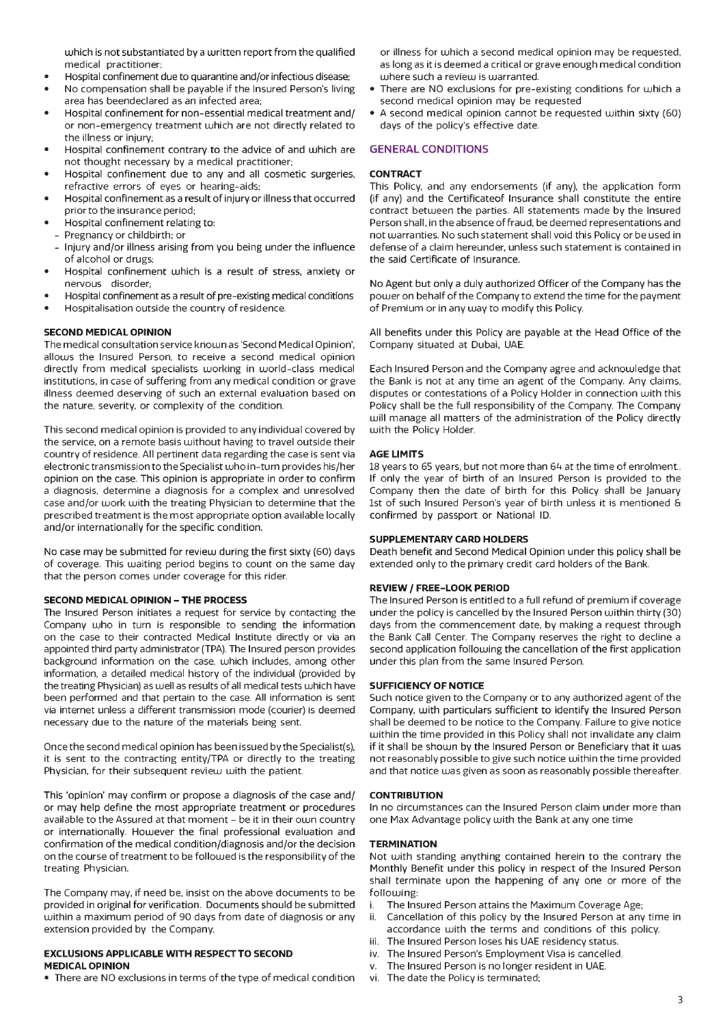which is not substantiated by a written report from the qualified medical practitioner;

- Hospital confinement due to quarantine and/or infectious disease;
- No compensation shall be payable if the Insured Person's living area has beendeclared as an infected area;
- Hospital confinement for non-essential medical treatment and/ or non-emergency treatment which are not directly related to the illness or injury;
- Hospital confinement contrary to the advice of and which are not thought necessary by a medical practitioner;
- Hospital confinement due to any and all cosmetic surgeries, refractive errors of eyes or hearing-aids;
- Hospital confinement as a result of injury or illness that occurred prior to the insurance period;
- Hospital confinement relating to;
- Pregnancy or childbirth; or
- Injury and/or illness arising from you being under the influence of alcohol or drugs;
- Hospital confinement which is a result of stress, anxiety or nervous disorder;
- Hospital confinement as a result of pre-existing medical conditions
- Hospitalisation outside the country of residence.

#### **SECOND MEDICAL OPINION**

The medical consultation service known as 'Second Medical Opinion', allows the Insured Person, to receive a second medical opinion directly from medical specialists working in world-class medical institutions, in case of suffering from any medical condition or grave illness deemed deserving of such an external evaluation based on the nature, severity, or complexity of the condition.

This second medical opinion is provided to any individual covered by the service, on a remote basis without having to travel outside their country of residence. All pertinent data regarding the case is sent via electronic transmission to the Specialist who in-turn provides his/her opinion on the case. This opinion is appropriate in order to confirm a diagnosis, determine a diagnosis for a complex and unresolved case and/or work with the treating Physician to determine that the prescribed treatment is the most appropriate option available locally and/or internationally for the specific condition.

No case may be submitted for review during the first sixty (60) days of coverage. This waiting period begins to count on the same day that the person comes under coverage for this rider.

#### **SECOND MEDICAL OPINION - THE PROCESS**

The Insured Person initiates a request for service by contacting the Company who in turn is responsible to sending the information on the case to their contracted Medical Institute directly or via an appointed third party administrator (TPA). The insured person provides background information on the case, which includes, among other information, a detailed medical history of the individual (provided by the treating Physician) as well as results of all medical tests which have been performed and that pertain to the case. All information is sent via internet unless a different transmission mode (courier) is deemed necessary due to the nature of the materials being sent.

Once the second medical opinion has been issued by the Specialist(s), it is sent to the contracting entity/TPA or directly to the treating Physician, for their subsequent review with the patient.

This 'opinion' may confirm or propose a diagnosis of the case and/ or may help define the most appropriate treatment or procedures available to the Assured at that moment - be it in their own country or internationally. However the final professional evaluation and confirmation of the medical condition/diagnosis and/or the decision on the course of treatment to be followed is the responsibility of the treating Physician.

The Company may, if need be, insist on the above documents to be provided in original for verification. Documents should be submitted within a maximum period of 90 days from date of diagnosis or any extension provided by the Company.

#### **EXCLUSIONS APPLICABLE WITH RESPECT TO SECOND MEDICAL OPINION**

• There are NO exclusions in terms of the type of medical condition

or illness for which a second medical opinion may be requested, as long as it is deemed a critical or grave enough medical condition where such a review is warranted.

- There are NO exclusions for pre-existing conditions for which a second medical opinion may be requested
- A second medical opinion cannot be requested within sixty (60) days of the policy's effective date.

#### GENERAL CONDITIONS

#### **CONTRACT**

This Policy, and any endorsements (if any), the application form (if any) and the Certificate of Insurance shall constitute the entire contract between the parties. All statements made by the Insured Person shall, in the absence of fraud, be deemed representations and not warranties. No such statement shall void this Policy or be used in defense of a claim hereunder, unless such statement is contained in the said Certificate of Insurance.

No Agent but only a duly authorized Officer of the Company has the power on behalf of the Company to extend the time for the payment of Premium or in any way to modify this Policy.

All benefits under this Policy are payable at the Head Office of the Company situated at Dubai, UAE.

Each Insured Person and the Company agree and acknowledge that the Bank is not at any time an agent of the Company. Any claims, disputes or contestations of a Policy Holder in connection with this Policy shall be the full responsibility of the Company. The Company will manage all matters of the administration of the Policy directly with the Policy Holder.

#### **AGE LIMITS**

18 years to 65 years, but not more than 64 at the time of enrolment.. If only the year of birth of an Insured Person is provided to the Company then the date of birth for this Policy shall be January 1st of such Insured Person's year of birth unless it is mentioned & confirmed by passport or National ID.

#### **SUPPLEMENTARY CARD HOLDERS**

Death benefit and Second Medical Opinion under this policy shall be extended only to the primary credit card holders of the Bank.

#### **REVIEW / FREE-LOOK PERIOD**

The Insured Person is entitled to a full refund of premium if coverage under the policy is cancelled by the Insured Person within thirty (30) days from the commencement date, by making a request through the Bank Call Center. The Company reserves the right to decline a second application following the cancellation of the first application under this plan from the same insured Person.

#### **SUFFICIENCY OF NOTICE**

Such notice given to the Company or to any authorized agent of the Company, with particulars sufficient to identify the Insured Person shall be deemed to be notice to the Company. Failure to give notice within the time provided in this Policy shall not invalidate any claim if it shall be shown by the Insured Person or Beneficiary that it was not reasonably possible to give such notice within the time provided and that notice was given as soon as reasonably possible thereafter.

#### **CONTRIBUTION**

In no circumstances can the Insured Person claim under more than one Max Advantage policy with the Bank at any one time

#### **TERMINATION**

Not with standing anything contained herein to the contrary the Monthly Benefit under this policy in respect of the Insured Person shall terminate upon the happening of any one or more of the following:

- i. The insured Person attains the Maximum Coverage Age;<br>ii. Cancellation of this policy by the Insured Person at any
- Cancellation of this policy by the Insured Person at any time in accordance with the terms and conditions of this policy.
- iii. The Insured Person loses his UAE residency status.
- iv. The insured Person's Employment Visa is cancelled.
- v. The insured Person is no longer resident in UAE.
- vi. The date the Policy is terminated;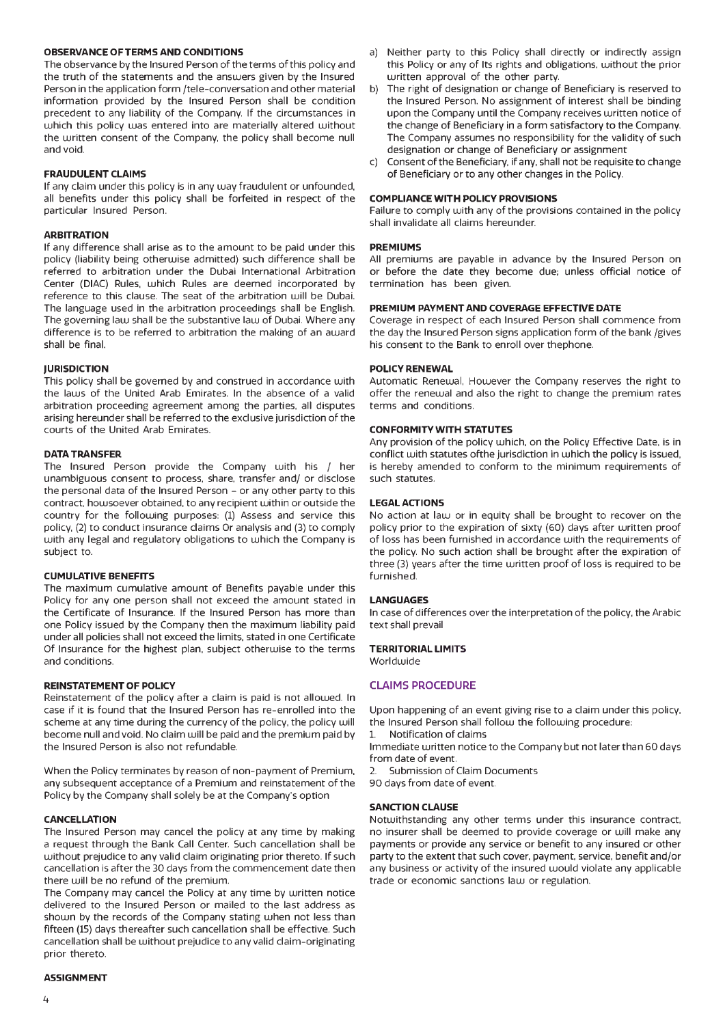#### **OBSERVANCE OF TERMS AND CONDITIONS**

The observance by the Insured Person of the terms of this policy and the truth of the statements and the answers given by the Insured Person in the application form /tele-conversation and other material information provided by the Insured Person shall be condition precedent to any liability of the Company. If the circumstances in which this policy was entered into are materially altered without the written consent of the Company, the policy shall become null and void.

#### **FRAUDULENT CLAIMS**

If any claim under this policy is in any way fraudulent or unfounded, all benefits under this policy shall be forfeited in respect of the particular Insured Person.

#### **ARBITRATION**

If any difference shall arise as to the amount to be paid under this policy (liability being otherwise admitted) such difference shall be referred to arbitration under the Dubai International Arbitration Center (DIAC) Rules, which Rules are deemed incorporated by reference to this clause. The seat of the arbitration will be Dubai. The language used in the arbitration proceedings shall be English. The governing law shall be the substantive law of Dubai. Where any difference is to be referred to arbitration the making of an award shall be final.

#### **JURISDICTION**

This policy shall be governed by and construed in accordance with the laws of the United Arab Emirates. In the absence of a valid arbitration proceeding agreement among the parties, all disputes arising hereunder shall be referred to the exclusive jurisdiction of the courts of the United Arab Emirates.

#### **DATA TRANSFER**

The Insured Person provide the Company with his / her unambiguous consent to process, share, transfer and/ or disclose the personal data of the Insured Person - or any other party to this contract, how soever obtained, to any recipient within or outside the country for the following purposes: (1) Assess and service this policy, (2) to conduct insurance claims Or analysis and (3) to comply with any legal and regulatory obligations to which the Company is subject to.

#### **CUMULATIVE BENEFITS**

The maximum cumulative amount of Benefits payable under this Policy for any one person shall not exceed the amount stated in the Certificate of Insurance. If the Insured Person has more than one Policy issued by the Company then the maximum liability paid under all policies shall not exceed the limits, stated in one Certificate Of Insurance for the highest plan, subject otherwise to the terms and conditions.

#### **REINSTATEMENT OF POLICY**

Reinstatement of the policy after a claim is paid is not allowed. In case if it is found that the Insured Person has re-enrolled into the scheme at any time during the currency of the policy, the policy will become null and void. No claim will be paid and the premium paid by the Insured Person is also not refundable.

When the Policy terminates by reason of non-payment of Premium, any subsequent acceptance of a Premium and reinstatement of the Policy by the Company shall solely be at the Company's option

#### **CANCELLATION**

The Insured Person may cancel the policy at any time by making a request through the Bank Call Center. Such cancellation shall be without prejudice to any valid claim originating prior thereto. If such cancellation is after the 30 days from the commencement date then there will be no refund of the premium.

The Company may cancel the Policy at any time by written notice delivered to the Insured Person or mailed to the last address as shown by the records of the Company stating when not less than fifteen (15) days thereafter such cancellation shall be effective. Such cancellation shall be without prejudice to any valid claim-originating prior thereto.

#### **ASSIGNMENT**

- a) Neither party to this Policy shall directly or indirectly assign this Policy or any of Its rights and obligations, without the prior written approval of the other party.
- b) The right of designation or change of Beneficiary is reserved to the Insured Person. No assignment of interest shall be binding upon the Company until the Company receives written notice of the change of Beneficiary in a form satisfactory to the Company. The Company assumes no responsibility for the validity of such designation or change of Beneficiary or assignment
- c) Consent of the Beneficiary, if any, shall not be requisite to change of Beneficiary or to any other changes in the Policy.

#### **COMPLIANCE WITH POLICY PROVISIONS**

Failure to comply with any of the provisions contained in the policy shall invalidate all claims hereunder.

#### **PREMIUMS**

All premiums are payable in advance by the Insured Person on or before the date they become due; unless official notice of termination has been given.

#### **PREMIUM PAYMENT AND COVERAGE EFFECTIVE DATE**

Coverage in respect of each Insured Person shall commence from the day the Insured Person signs application form of the bank /gives his consent to the Bank to enroll over the phone.

#### **POLICY RENEWAL**

Automatic Renewal, However the Company reserves the right to offer the renewal and also the right to change the premium rates terms and conditions.

#### **CONFORMITY WITH STATUTES**

Any provision of the policy which, on the Policy Effective Date, is in conflict with statutes of the jurisdiction in which the policy is issued, is hereby amended to conform to the minimum requirements of such statutes.

#### **LEGAL ACTIONS**

No action at law or in equity shall be brought to recover on the policy prior to the expiration of sixty (60) days after written proof of loss has been furnished in accordance with the requirements of the policy. No such action shall be brought after the expiration of three (3) years after the time written proof of loss is required to be furnished.

#### **LANGUAGES**

In case of differences over the interpretation of the policy, the Arabic text shall prevail

#### **TERRITORIAL LIMITS**

Worldwide

#### CLAIMS PROCEDURE

Upon happening of an event giving rise to a claim under this policy, the Insured Person shall follow the following procedure:

1. Notification of claims Immediate written notice to the Company but not later than 60 days from date of event.

2. Submission of Claim Documents

90 days from date of event.

#### **SANCTION CLAUSE**

Notwithstanding any other terms under this insurance contract, no insurer shall be deemed to provide coverage or will make any payments or provide any service or benefit to any insured or other party to the extent that such cover, payment, service, benefit and/or any business or activity of the insured would violate any applicable trade or economic sanctions law or regulation.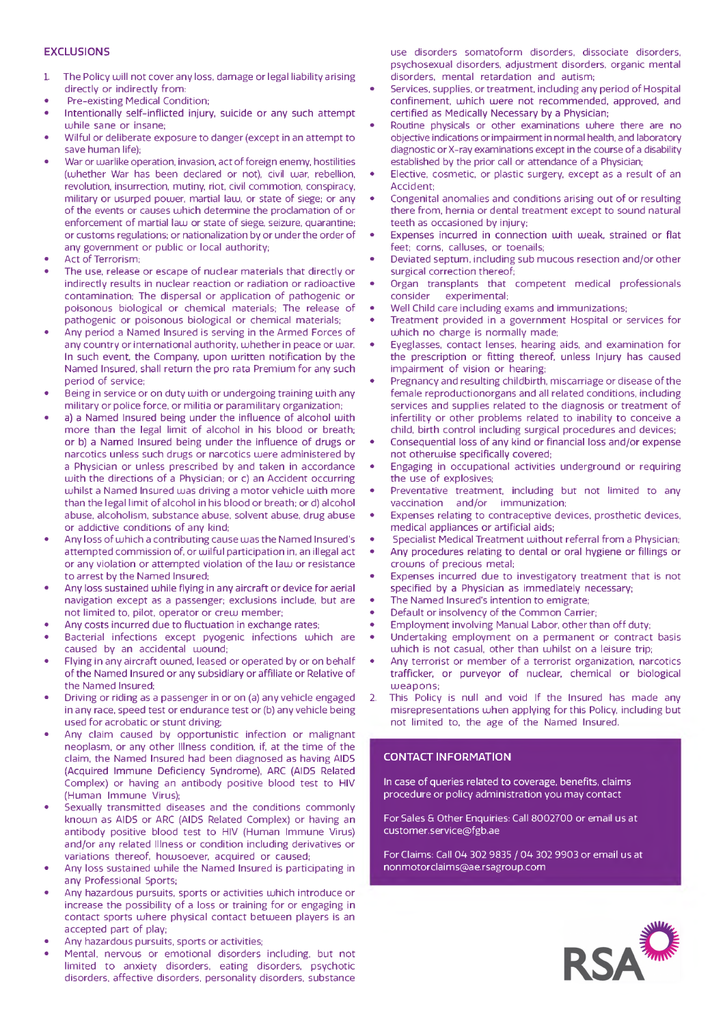#### **EXCLUSIONS**

- 1. The Policy will not cover any loss, damage or legal liability arising directly or indirectly from:
- Pre-existing Medical Condition;
- Intentionally self-inflicted injury, suicide or any such attempt while sane or insane;
- Wilful or deliberate exposure to danger (except in an attempt to save human life);
- War or warlike operation, invasion, act of foreign enemy, hostilities (whether War has been declared or not), civil war, rebellion, revolution, insurrection, mutiny, riot, civil commotion, conspiracy, military or usurped power, martial law, or state of siege; or any of the events or causes which determine the proclamation of or enforcement of martial law or state of siege, seizure, quarantine; or customs regulations; or nationalization by or under the order of any government or public or local authority;
- Act of Terrorism;
- The use, release or escape of nuclear materials that directly or indirectly results in nuclear reaction or radiation or radioactive contamination; The dispersal or application of pathogenic or poisonous biological or chemical materials; The release of pathogenic or poisonous biological or chemical materials;
- Any period a Named Insured is serving in the Armed Forces of any country or international authority, whether in peace or war. In such event, the Company, upon written notification by the Named Insured, shall return the pro rata Premium for any such period of service;
- Being in service or on duty with or undergoing training with any military or police force, or militia or paramilitary organization;
- a) a Named Insured being under the influence of alcohol with more than the legal limit of alcohol in his blood or breath; or b) a Named Insured being under the influence of drugs or narcotics unless such drugs or narcotics were administered by a Physician or unless prescribed by and taken in accordance with the directions of a Physician; or c) an Accident occurring whilst a Named Insured was driving a motor vehicle with more than the legal limit of alcohol in his blood or breath; or d) alcohol abuse, alcoholism, substance abuse, solvent abuse, drug abuse or addictive conditions of any kind;
- Any loss of which a contributing cause was the Named Insured's attempted commission of, or wilful participation in, an illegal act or any violation or attempted violation of the law or resistance to arrest by the Named Insured;
- Any loss sustained while flying in any aircraft or device for aerial navigation except as a passenger; exclusions include, but are not limited to, pilot, operator or crew member;
- Any costs incurred due to fluctuation in exchange rates;
- Bacterial infections except pyogenic infections which are caused by an accidental wound;
- Flying in any aircraft owned, leased or operated by or on behalf of the Named Insured or any subsidiary or affiliate or Relative of the Named Insured;
- Driving or riding as a passenger in or on (a) any vehicle engaged in any race, speed test or endurance test or (b) any vehicle being used for acrobatic or stunt driving;
- Any claim caused by opportunistic infection or malignant neoplasm, or any other Illness condition, if, at the time of the claim, the Named Insured had been diagnosed as having AIDS (Acquired immune Deficiency Syndrome), ARC (AIDS Related Complex) or having an antibody positive blood test to HIV (Human immune Virus);
- Sexually transmitted diseases and the conditions commonly known as AIDS or ARC (AIDS Related Complex) or having an antibody positive blood test to HIV (Human Immune Virus) and/or any related Illness or condition including derivatives or variations thereof, howsoever, acquired or caused;
- Any loss sustained while the Named Insured is participating in any Professional Sports;
- Any hazardous pursuits, sports or activities which introduce or increase the possibility of a loss or training for or engaging in contact sports where physical contact between players is an accepted part of play;
- Any hazardous pursuits, sports or activities;
- Mental, nervous or emotional disorders including, but not limited to anxiety disorders, eating disorders, psychotic disorders, affective disorders, personality disorders, substance

use disorders somatoform disorders, dissociate disorders, psychosexual disorders, adjustment disorders, organic mental disorders, mental retardation and autism;

- Services, supplies, or treatment, including any period of Hospital confinement, which were not recommended, approved, and certified as Medically Necessary by a Physician;
- Routine physicals or other examinations where there are no objective indications or impairment in normal health, and laboratory diagnostic or X-ray examinations except in the course of a disability established by the prior call or attendance of a Physician;
- Elective, cosmetic, or plastic surgery, except as a result of an Accident;
- Congenital anomalies and conditions arising out of or resulting there from, hernia or dental treatment except to sound natural teeth as occasioned by injury;
- Expenses incurred in connection with weak, strained or flat feet; corns, calluses, or toenails;
- Deviated septum, including sub mucous resection and/or other surgical correction thereof;
- Organ transplants that competent medical professionals consider experimental;
- Well Child care including exams and immunizations;
- Treatment provided in a government Hospital or services for which no charge is normally made;
- Eyeglasses, contact lenses, hearing aids, and examination for the prescription or fitting thereof, unless Injury has caused impairment of vision or hearing;
- Pregnancy and resulting childbirth, miscarriage or disease of the female reproductionorgans and all related conditions, including services and supplies related to the diagnosis or treatment of infertility or other problems related to inability to conceive a child, birth control including surgical procedures and devices;
- Consequential loss of any kind or financial loss and/or expense not otherwise specifically covered;
- Engaging in occupational activities underground or requiring the use of explosives;
- Preventative treatment, including but not limited to any vaccination and/or immunization;
- Expenses relating to contraceptive devices, prosthetic devices, medical appliances or artificial aids;
- Specialist Medical Treatment without referral from a Physician;
- Any procedures relating to dental or oral hygiene or fillings or crowns of precious metal;
- Expenses incurred due to investigatory treatment that is not specified by a Physician as immediately necessary;
- The Named Insured's intention to emigrate;
- Default or insolvency of the Common Carrier;
- Employment involving Manual Labor, other than off duty;
- Undertaking employment on a permanent or contract basis which is not casual, other than whilst on a leisure trip;
- Any terrorist or member of a terrorist organization, narcotics trafficker, or purveyor of nuclear, chemical or biological weapons;
- 2. This Policy is null and void If the Insured has made any misrepresentations when applying for this Policy, including but not limited to, the age of the Named Insured.

#### CONTACT INFORMATION

In case of queries related to coverage, benefits, claims procedure or policy administration you may contact

For Sales & Other Enquiries: Call 8002700 or email us at [customer.service@fgb.ae](mailto:customer.service@fgb.ae)

For Claims: Call 04 302 9835 / 04 302 9903 or email us at [nonmotorclaims@ae.rsagroup.com](mailto:nonmotorclaims@ae.rsagroup.com)

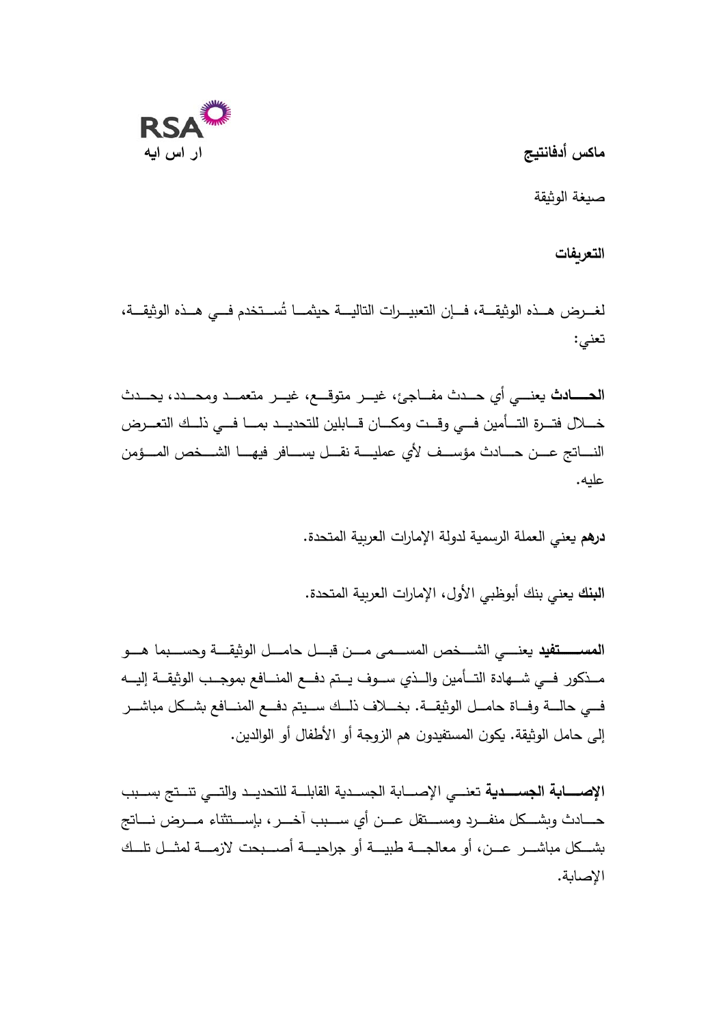

**س اكم أدفانت جی** 

صيغة الوثيقة

التعريفات

لغـــرض هــذه الوثيقـــة، فـــإن التعبيـــرات التاليـــة حيثمـــا تُســـتخدم فـــي هــذه الوثيقـــة، تعني:

الحــــــادث يعنـــي أي حـــدث مفـــاجئ، غيـــر متوقـــع، غيـــر متعمـــد ومحـــدد، يحـــدث خـــلال فتـــرة التـــأمين فـــي وقـــت ومكـــان قـــابلين للتحديـــد بمـــا فـــي ذلــك التعـــرض النســـاتج عــــن حـــــادث مؤســــف لأي عمليــــة نقـــل يســــافر فيهــــا الشــــخص المــــؤمن علیه.

**درهم** يعني العملة الرسمية لدولة الإمارات العربية المتحدة.

ا**لبنك** يعني بنك أبوظبي الأول، الإمارات العربية المتحدة.

<mark>المســــــتفيد</mark> يعنـــــى الشــــخص المســــمى مــــن قبــــل حامــــل الوثيقــــة وحســـبما هــــو مــــذكور فـــي شــــهادة التـــأمين والـــذي ســـوف يـــتم دفـــع المنـــافع بموجـــب الوثيقـــة إليــــه فـــي حالــــة وفـــاة حامـــل الوثيقـــة. بخـــلاف ذلــك ســـيتم دفـــع المنـــافع بشــكل مباشـــر إلى حامل الوثيقة. يكون المستفيدون هم الزوجة أو الأطفال أو الوالدين.

**الإصــــــابـة الجســــديـة** تعنـــى الإصــــابة الجســدية القابلـــة للتحديــد والتـــى تنــتج بســبب حــــــادث وبشــــكل منفــــرد ومســــتقل عــــن أي ســـــبب آخــــر ، بإســــتثناء مــــرض نــــاتج بشـــكل مباشـــر عـــن، أو معالجـــة طبيـــة أو جراحيـــة أصـــبحت لازمـــة لمثــل تلــك الاصابة.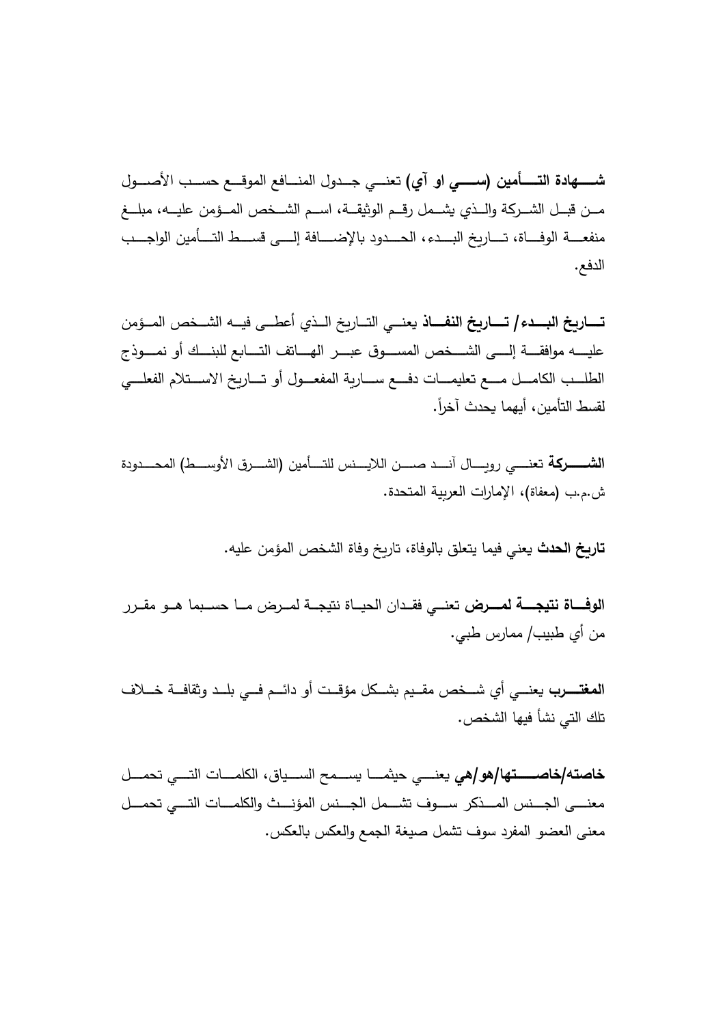**شـــــهادة التـــــأمين (ســــــى او آى)** تعنــــى جـــدول المنـــافع الموقـــع حســب الأصــــول مــن قبــل الشـــركـة والـــذي يشـــمل رقـــم الوثيقـــة، اســـم الشـــخص المـــؤمن عليـــه، مبلـــغ منفعــــة الوفــــاة، تـــــاريخ البــــدء، الـحـــدود بالإضــــافة إلــــى قســــط التــــأمين الواجــــب الدفع.

<mark>تــــــاريخ البــــدء/ تـــــاريخ النفــــاذ</mark> يعنـــى التـــاريخ الـــذي أعطـــى فيـــه الشـــخص المــؤمن عليـــــه موافقـــــة إلـــــي الشــــخص المســـــوق عبــــر الـهـــــاتف التــــابـع للبنـــك أو نمـــــوذج الطلـــب الكامـــل مـــع تعليمـــات دفـــع ســـاربـة المفعـــول أو تـــاربخ الاســـتلام الفعلـــي لقسط التأمين، أيهما يحدث آخراً.

<mark>الشــــــــركمة</mark> تعنـــــى رويـــــال آنــــد صـــــن اللايــــنس للتــــأمين (الشــــرق الأوســـط) المحــــدودة ش.م.ب (معفاة)، الإمارات العربية المتحدة.

<mark>تاربخ الحدث</mark> يعني فيما يتعلق بالوفاة، تاريخ وفاة الشخص المؤمن عليه.

ا**لوفــــاة نتيجــــة لمــــرض** تعنـــى فقــدان الحيــاة نتيجــة لمــرض مــا حســبما هــو مقــرر من أي طبيب/ ممارس طبي.

<mark>المغتـــــرب</mark> يعنــــى أي شـــخص مقــيم بشــكل مؤقــت أو دائـــم فـــى بلــد وثقافـــة خـــلاف تلك التي نشأ فيها الشخص.

<mark>خاصته/خاصـــــتها/هو/هي</mark> يعنــــي حيثمــــا يســـمح الســـياق، الكلمــــات التــــي تحمـــل معنــــي الجـــنس المــــذكر ســــوف تشـــمل الجـــنس المؤنـــث والكلمــــات التــــي تحمـــل معنى العضو المفرد سوف تشمل صيغة الجمع والعكس بالعكس.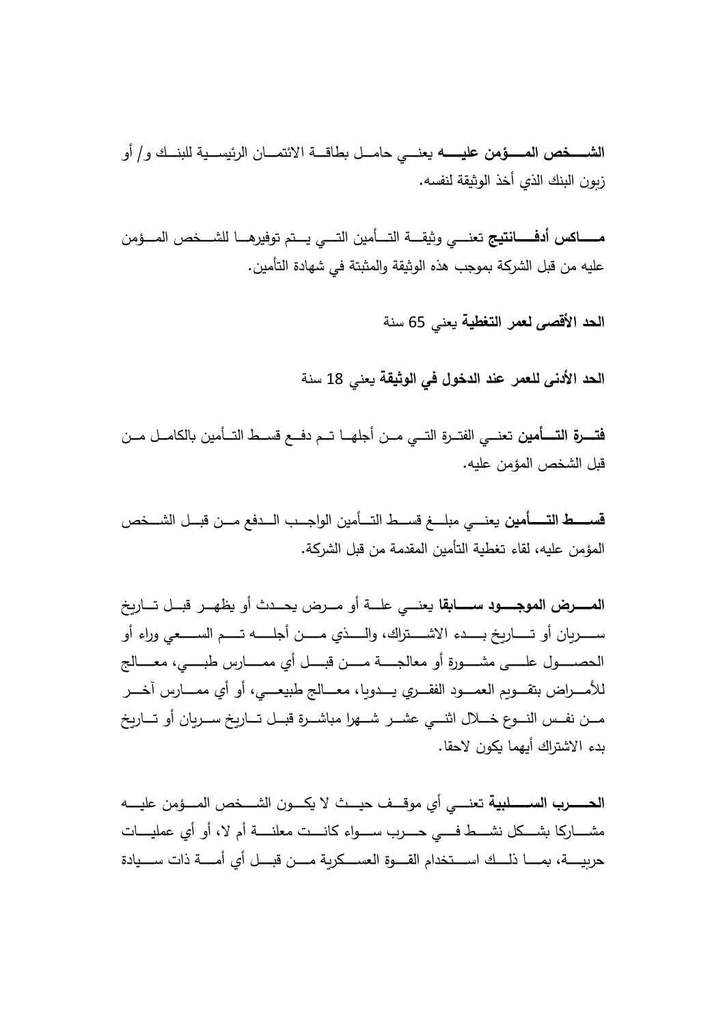<mark>الشـــــخص المـــــؤمن عليـــــــه</mark> يعنــــ<sub>ى</sub> حامـــل بطاقـــة الائتمـــان الرئيســـية للبنـــك و / أو زبون البنك الذي أخذ الوثيقة لنفسه.

**مــــــــــاكس أدفــــــــانتيـج** تعنـــــى وثيقــــة التــــأمين التـــــى يـــتم توفيرهـــــا للشــــخص المـــؤمن عليه من قبل الشركة بموجب هذه الوثيقة والمثبتة في شهادة التأمين.

<mark>الحد الأقصى لعمر التغطية</mark> يعني 65 سنة

<mark>الحد الأدني للعمر عند الدخول في الوثيقة</mark> يعني 18 سنة

<mark>فتــــرة التــــأمين</mark> تعنـــى الفتــرة التـــى مــن أجلهــا تــم دفـــع قســط التــأمين بالكامــل مــن قبل الشخص المؤمن عليه.

<mark>قســـــط التــــــأمين</mark> يعنــــى مبلــــغ قســـط التـــأمين الواجـــب الـــدفـع مـــن قبـــل الشـــخص المؤمن علیه، لقاء تغطية التأمين المقدمة من قبل الشركة.

المـــــــرض الموجــــــود ســــــابقا يعنــــى علـــة أو مـــرض يحـــدث أو يظهـــر قبـــل تـــاربخ ـــــــسـ نا ر يعســـــــلا مـــــــتـ هلـــــــجأ نـــــــمـ يذلـــــــاو اك،رتـــــــشـلاا دءبـــــــ خ راـــــــتـ وأ و أءارو الحصــــول علـــــي مشـــــورة أو معالجـــــة مــــن قبــــل أي ممـــــارس طبـــــي، معـــــالـج للأمــــراض بتقــــويم الـعمـــــود الفقــــري يــــدويـا، معــــالج طبيعــــي، أو أي ممـــــارس آخــــر مـــن نفــس النـــوع خــــلال اثنــــي عشـــر شـــهرا مباشـــرة قبــل تـــاربخ ســـربان أو تـــاربخ يدء الاشتراك أيهما يكون لاحقا.

<mark>الحــــــرب الســـــــلبية</mark> تعنــــى أي موقـــف حيـــث لا يكــــون الشــــخص المـــؤمن عليــــه مشــــاركا بشـــكل نشـــط فـــي حــــرب ســــواء كانــــت معلنــــة أم لا، أو أي عمليــــات حرىيـــــة، بمــــــــــا ذلـــــك اســــتخدام القـــــوة الـعســـكربـة مـــــن قبــــل أي أمـــــة ذات ســــيادة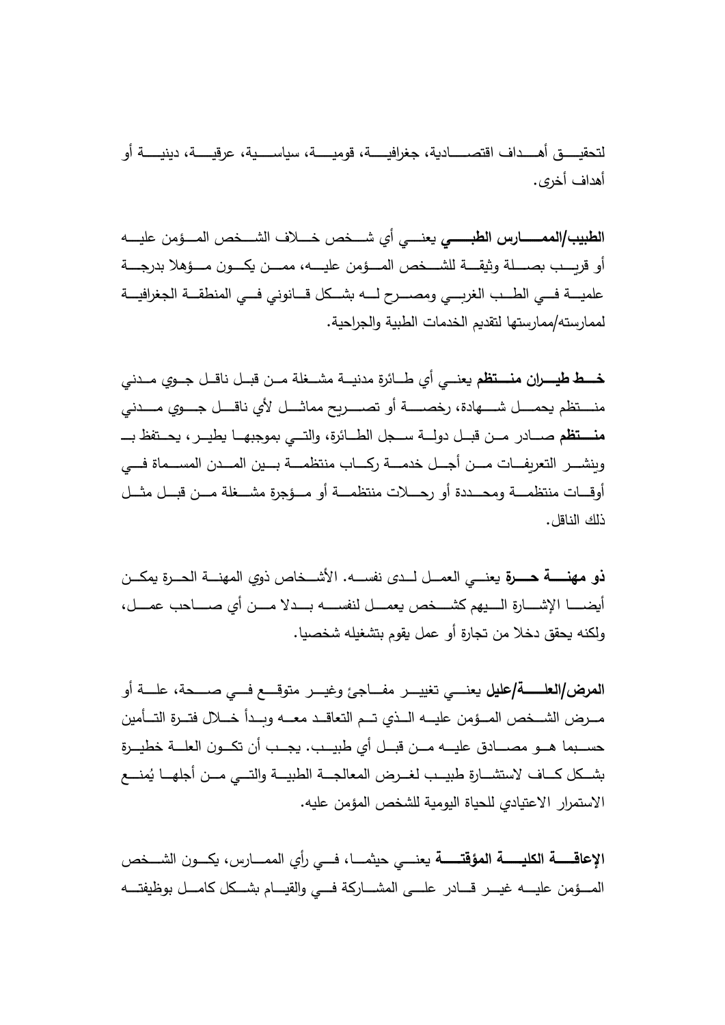لتحقيـــــق أهـــــداف اقتصــــــادية، جغرافيـــــة، قوميـــــة، سياســـــية، عرقيــــة، دينيـــــة أو أهداف أخرى.

<mark>الطبيب/الممــــــــارس الطبـــــــى</mark> يعنــــى أى شــــخص خــــلاف الشـــخص المـــؤمن عليــــه أو قربـــب بصــــلة وثيقــــة للشـــخص المــــؤمن عليــــه، ممـــن يكــــون مـــؤهلا بدرجــــة علميــــة فـــي الطـــب الغربــــي ومصــــرح لـــــه بشـــكل قـــانونـي فـــي المنطقـــة الـجغرافيـــة لممارسته/ممارستها لتقديم الخدمات الطبية والجراحية.

<mark>خــــط طيـــــران منــــتظم</mark> يعنـــي أي طـــائرة مدنيـــة مشـــغلة مـــن قبــل ناقــل جــوي مــدن*ـي* منــــتظم يحمــــل شـــــهادة، رخصـــــة أو تصـــــربح مماثــــل لأي ناقــــل جــــوى مــــدنـي <mark>منـــــتظم</mark> صــــادر مـــن قبـــل دولـــة ســـجل الطـــائرة، والتـــى بموجبهـــا يطيـــر ، يحـــتفظ بــــ وينشـــر التعريفـــات مــــن أجـــل خدمــــة ركــــاب منتظمـــة بــــين المـــدن المســـماة فــــي أوقــــات منتظمــــة ومحــــددة أو رجــــلات منتظمــــة أو مــــؤجرة مشــــغلة مــــن قبـــل مثـــل ذلك الناقل.

<mark>ذو مهنــــــة حــــــرة</mark> يعنــــ<sub>ي</sub> العمـــل لـــدى نفســــه. الأشـــخاص ذوي المهنــــة الحـــرة يمكـــن لـــــمـع صخشــــــ مهیـــــلـا ةراشــــــلإا اـــــضـ أ ل ل،مــــــع بحاـــــصـ يأ نمــــــ لادـــــبـ هســــــفن ولكنه يحقق دخلا من تجارة أو عمل يقوم بتشغيله شخصيا.

<mark>المرض/العلــــــــــــــــــــــــــــــــــ</mark>ى تغييـــــر مفــــاجئ وغيــــر متوقــــع فــــى صـــــحة، علـــــة أو مـــرض الشـــخص المــؤمن عليـــه الـــذي تـــم التعاقــد معـــه وبـــدأ خـــلال فتــرة التـــأمين حســبما هـــو مصــــادق عليــــه مـــن قبـــل أي طبيـــب. يجـــب أن تكـــون العلـــة خطيـــرة بشــكل كـــاف لاستشـــارة طبيـــب لغــرض المعالجـــة الطبيـــة والتـــي مـــن أجلهـــا يُمنـــع الاستمرار الاعتيادى للحياة اليومية للشخص المؤمن عليه.

**الإعاقــــــة الكليـــــــة المؤقتـــــــة** يعنــــى حيثمــــا، فـــى رأي الممــــارس، يكـــون الشـــخص المـــؤمن عليــــه غيـــر قـــادر علــــي المشــــاركة فـــي والقيـــام بشـــكل كامـــل بوظيفتـــه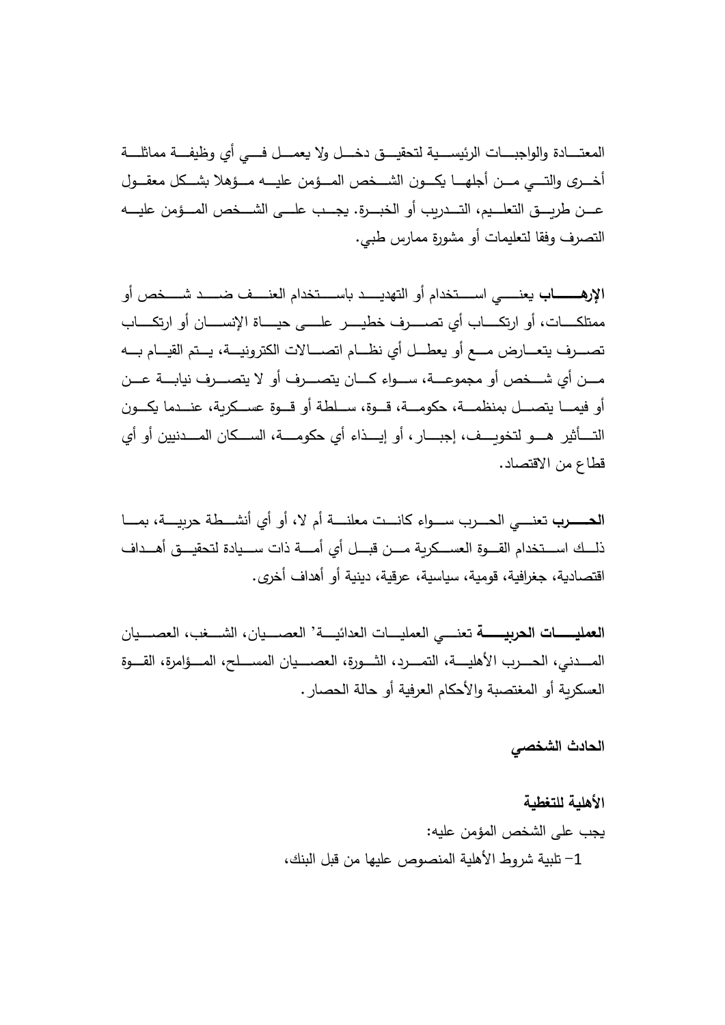المعتــــادة والواجبــــات الرئيســـية لتحقيــــق دخــــل ولا يعمـــل فــــی أي وظيفـــة مماثلــــة أخــــرى والتــــي مــــن أجلهـــــا يكــــون الشــــخص المــــؤمن عليــــه مـــؤهلا بشـــكل معقـــول عـــن طربـــق التعلـــيم، التـــدربب أو الخبـــرة. يجـــب علـــى الشـــخص المـــؤمن عليــــه التصرف وفقا لتعليمات أو مشورة ممارس طبي.

**الإرهــــــــــــــــــــــــ**ى اســـــتخدام أو التهديـــــد باســــتخدام العنــــف ضـــــد شــــخص أو ممتلكـــــات، أو ارتكـــــاب أي تصـــــرف خطيــــر علــــي حيـــــاة الإنســـــان أو ارتكــــاب تصـــــرف يتعــــارض مــــع أو يعطـــل أي نظــــام اتصـــــالات الكترونيــــة، يـــتم القيـــام بــــه مـــن أي شـــخص أو مجموعـــة، ســـواء كــــان يتصــــرف أو لا يتصــــرف نيابـــة عـــن أو فيمــــا يتصــــل بمنظمــــة، حكومــــة، قـــوة، ســـلطـة أو قـــوة عســـكربـة، عنـــدما يكـــون التــــأثیر هـــو لتخويـــف، إجبـــار ، أو إيـــذاء أي حكومــــة، الســـكان المـــدنيين أو أي قطاع من الاقتصاد.

**برــــــــــحـلا** يـــــنـعت ةطـــــشـنأ يأ وأ لا، مأ ةـــــنـلعم تـــــنـا اءوـــــسـ برـــــحـلا اـــــمـ ة،ـــــیـ رح ذلـــك اســـتخدام القــــوة الـعســـكريـة مــــن قبـــل أي أمــــة ذات ســـيادة لتحقيـــق أهـــداف اقتصادية، جغرافية، قومية، سياسية، عرقية، دينية أو أهداف أخرى.

<mark>العمليــــــات الـحربيـــــــــة</mark> تعنـــــى الـعمليــــات الـعدائيــــة' الـعصــــيان ، الشــــغب، الـعصــــيان المــــدنى، الـحـــرب الأهليــــة، التمـــرد، الثــــورة، العصــــيان المســـلح، المــــؤامرة، القــــوة العسكربة أو المغتصبة والأحكام العرفية أو حالة الحصار .

الحادث الشخص*ي* 

**الأهلیة للتغطیة**  يجب على الشخص المؤمن عليه: 1– تلبية شروط الأهلية المنصوص عليها من قبل البنك،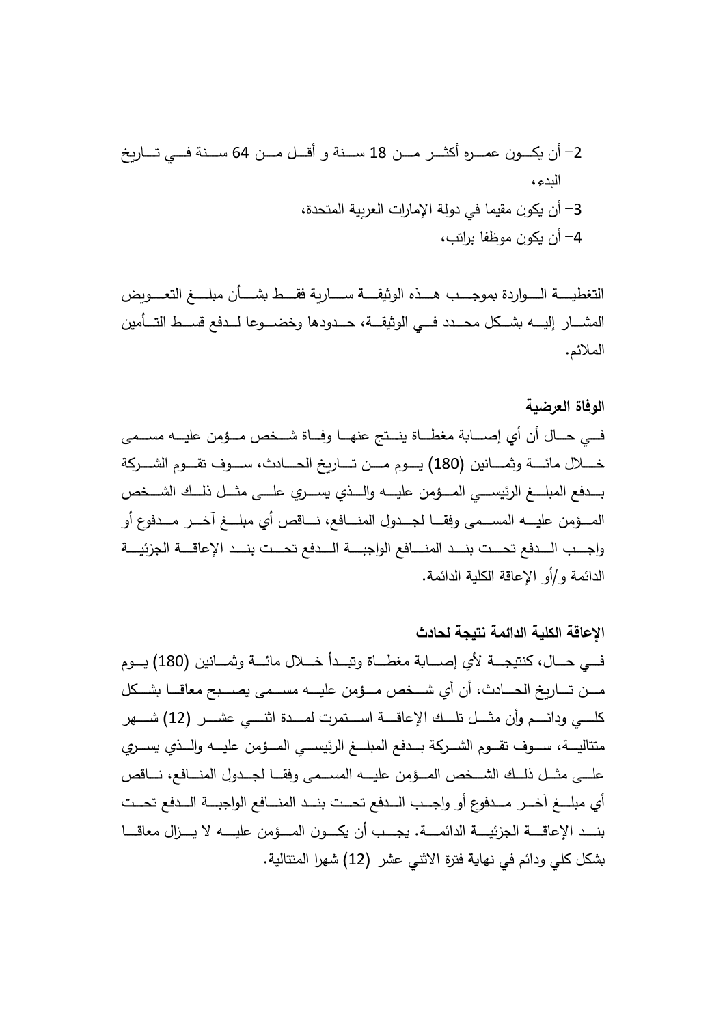-2 وــــكـ نأ ن نــــمـ رــــثـكأ هرــــمـع 18 سـ نــــمـ لــــأقـ و ةنـــــ 64 خ راــــتـ يــــ فـةنــــسـ ،ءدبال -3 و كن أ ن ، ةدحتلماة ی رلعات ارالإماة لودي فا یمق م -4 أن كو ن ،باتر بافظمو

التغطيـــــة الـــــواردة بموجــــب هــــذه الوثيقــــة ســـــاربـة فقــــط بشــــأن مبلـــــغ التعــــوبض المشـــار إليــــه بشـــكل محـــدد فــــى الوثيقـــة، حـــدودها وخضــــوعا لـــدفـع قســـط التـــأمين الملائم.

# **الوفاة العرضیة**

فـــي حـــال أن أي إصــــابة مغطـــاة ينـــتج عنهــا وفـــاة شـــخص مـــؤمن عليـــه مســـمي خــــلال مائـــــة وثمــــانين (180) يـــوم مـــن تــــاربخ الحــــادث، ســـوف تقـــوم الشـــركة بــــدفع المبلــــغ الرئيســــي المــــؤمن عليــــه والــــذي يســــري علــــى مثـــل ذلـــك الشــــخص المـــؤمن عليــــه المســـمى وفقـــا لجـــدول المنــــافع، نــــاقص أي مبلـــغ آخـــر مـــدفوع أو واجـــب الــــدفع تحـــت بنــــد المنــــافع الواجبــــة الــــدفع تحـــت بنـــد الإعاقــــة الجزئيــــة الدائمة و/أو الإعاقة الكلية الدائمة.

# **الإعاقة الكلیة الدائمة نتیجة لحادث**

فــي حـــال، كنتيجــــة لأي إصــــابة مغطـــاة وتبـــدأ خـــلال مائـــة وثمـــانين (180) يـــوم مـــن تـــــاريخ الـحــــادث، أن أي شـــخص مـــؤمن عليــــه مســـمى يصــــبح معاقــــا بشـــكل كلــــي ودائــــم وأن مثــــل تلـــك الإعاقــــة اســــتمرت لمــــدة اثنــــي عشــــر (12) شــــهر متتاليـــة، ســـوف تقـــوم الشـــركة بـــدفع المبلـــغ الرئيســـي المـــؤمن عليـــه والـــذي يســـري علـــى مثــل ذلــك الشــخص المــؤمن عليـــه المســمى وفقــا لجــدول المنـــافع، نـــاقص أى مبلـــغ آخـــر \_مـــدفوع أو واجـــب الـــدفـع تحـــت بنـــد المنـــافـع الواجبـــة الـــدفـع تحـــت بنـــد الإعاقــــة الـجزئيــــة الدائمــــة. يجـــب أن يكـــون المــــؤمن عليــــه لا يـــزال معاقــــا بشكل كلي ودائم في نهاية فترة الاثني عشر (12) شهرا المتتالية.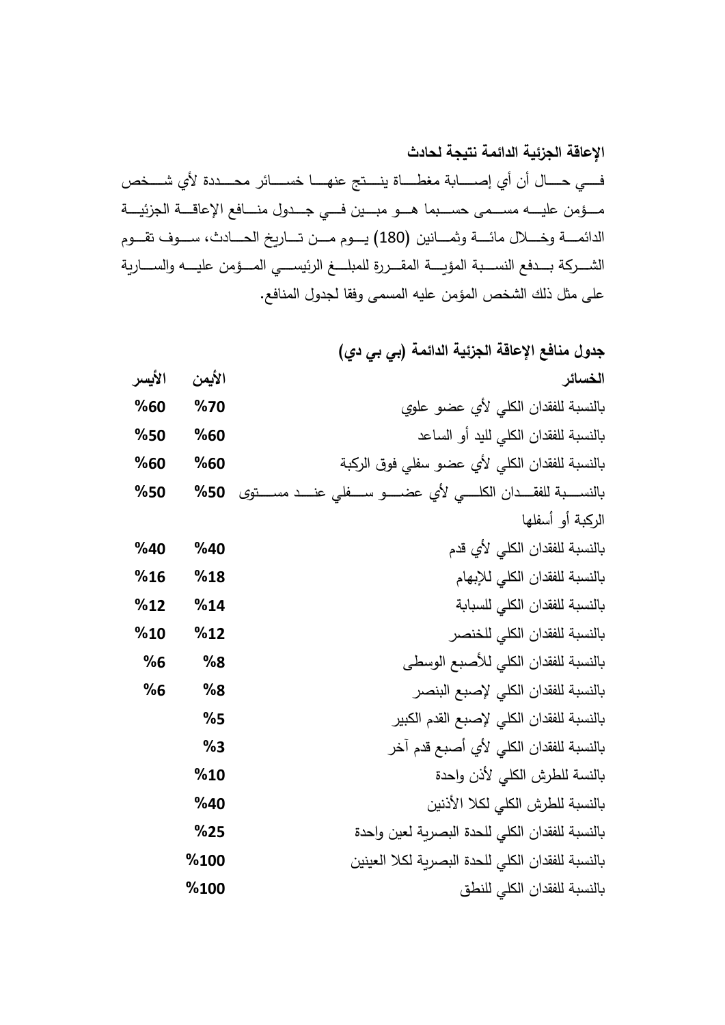**الإعاقة الجزئیة الدائمة نتیجة لحادث** فــــي حـــــال أن أي إصــــــابة مغطـــــاة ينــــتج عنهـــــا خســــائر محــــددة لأي شــــخص مـــؤمن عليـــــه مســـمى حســـبما هــــو مبـــين فــــي جـــدول منــــافع الإعاقــــة الجزئيـــة الدائمــــة وخــــلال مائــــة وثمــــانين (180) يـــوم مـــن تـــاريخ الحــــادث، ســـوف تقـــوم الشــــركة بــــدفع النســــبة المؤيــــة المقــــررة للمبلــــغ الرئيســــي المــــؤمن عليــــه والســــارية على مثل ذلك الشخص المؤمن عليه المسمى وفقا لجدول المنافع.

|        |        | جدول منافع الإعاقة الجزئية الدائمة (بي بي دي)                                  |
|--------|--------|--------------------------------------------------------------------------------|
| الأيسر | الأيمن | الخسائر                                                                        |
| %60    | %70    | بالنسبة للفقدان الكلى لأي عضو علوي                                             |
| %50    | %60    | بالنسبة للفقدان الكلى لليد أو الساعد                                           |
| %60    | %60    | بالنسبة للفقدان الكلى لأي عضو سفلى فوق الركبة                                  |
| %50    | %50    | بالنســــبة للفقــــدان الكلـــــى لأي عضــــــو ســـــفلـى عنــــد مســـــتوى |
|        |        | الركبة أو أسفلها                                                               |
| %40    | %40    | بالنسبة للفقدان الكلى لأي قدم                                                  |
| %16    | %18    | بالنسبة للفقدان الكلى للإبهام                                                  |
| %12    | %14    | بالنسبة للفقدان الكلى للسبابة                                                  |
| %10    | %12    | بالنسبة للفقدان الكلى للخنصر                                                   |
| %6     | %8     | بالنسبة للفقدان الكلى للأصبع الوسطى                                            |
| %6     | %8     | بالنسبة للفقدان الكلى لإصبع البنصر                                             |
|        | %5     | بالنسبة للفقدان الكلى لإصبع القدم الكبير                                       |
|        | %3     | بالنسبة للفقدان الكلى لأي أصبع قدم آخر                                         |
|        | %10    | بالنسة للطرش الكلي لأذن واحدة                                                  |
|        | %40    | بالنسبة للطرش الكلي لكلا الأذنين                                               |
|        | %25    | بالنسبة للفقدان الكلى للحدة البصرية لعين واحدة                                 |
|        | %100   | بالنسبة للفقدان الكلى للحدة البصرية لكلا العينين                               |
|        | %100   | بالنسبة للفقدان الكلى للنطق                                                    |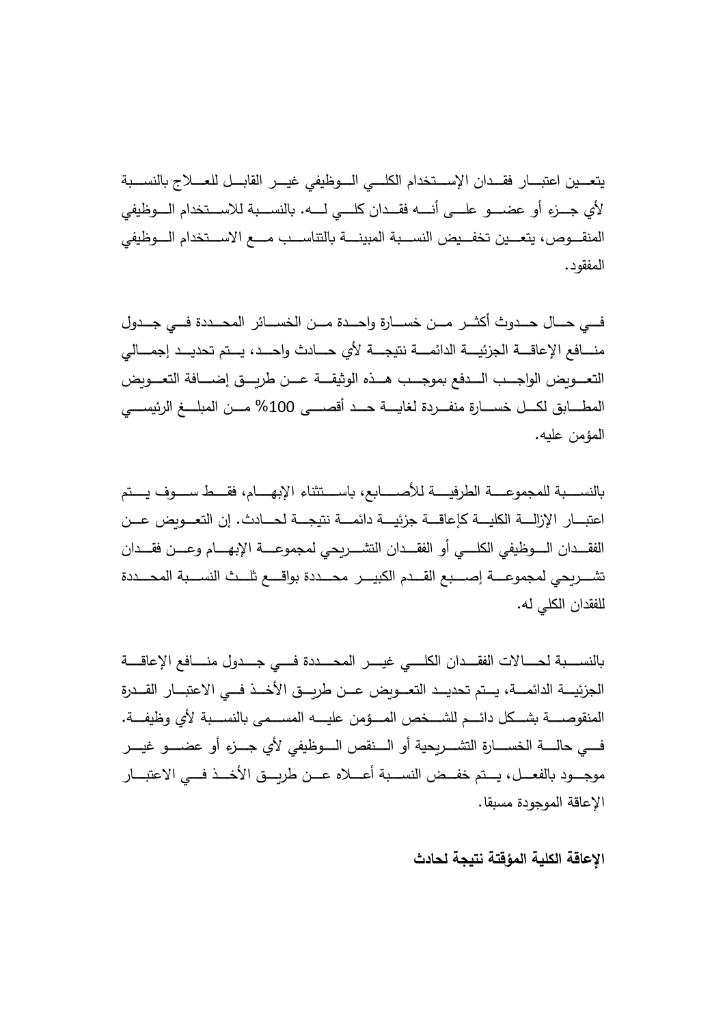يتعـــين اعتبـــار فقــدان الإســـتخدام الكلـــي الـــوظيفي غيـــر القابـــل للعـــلاج بالنســـبة لأي جـــزء أو عضــــو علــــي أنـــــه فقـــدان كلــــي لـــــه. بالنســـبة للاســـتخدام الــــوظيفي المنقـــوص، يتعـــين تخفـــيض النســـبة المبينــــة بالتتاســـب مــــع الاســـتخدام الـــوظيفي المفقود.

فـــي حــــال حـــدوث أكثـــر مـــن خســـارة واحـــدة مـــن الخســـائر المحـــددة فـــي جـــدول منــــافع الإعاقــــة الجزئيــــة الدائمــــة نتيجــــة لأى حــــادث وإحــــد، يـــتم تحديـــد إجمــــالي التعـــويض الواجـــب الـــدفع بموجـــب هـــذه الوثيقـــة عـــن طريـــق إضــــافة التعـــويض المطــــابق لكـــل خســــارة منفـــردة لغايــــة حـــد أقصــــي 100% مـــن المبلــــغ الرئيســــي المؤمن عليه.

بالنســـبة للمجموعــــة الطرفيــــة للأصـــــابع، باســـتثناء الإبهــــام، فقـــط ســـوف يـــتم اعتبـــار الإزالــــة الكليــــة كإعاقــــة جزئيــــة دائمــــة نتيجـــة لـحـــادث. إن التعـــوبض عـــن الفقــــدان الـــــوظيفي الكلـــــي أو الفقــــدان التشــــريحي لمجموعــــة الإبهــــام وعــــن فقــــدان تشــــربحى لمجموعــــة إصــــبع القـــدم الكبيــــر محـــددة بواقــــع تلـــث النســـبة المحـــددة للفقدان الكلي له.

بالنســـبة لحـــــالات الفقـــدان الكلــــي غيــــر المحــــددة فــــي جـــدول منــــافع الإعاقــــة الجزئيـــة الدائمـــة، يـــتم تحديـــد التعـــوبض عـــن طربـــق الأخـــذ فـــي الاعتبـــار القـــدرة المنقوصــــة بشـــكل دائـــم للشــــخص المــــؤمن عليــــه المســـمى بالنســـبة لأى وظيفـــة. فــــي حالــــــة الخســـــارة التشـــــربحية أو الــــنقص الــــوظيفي لأي جــــزء أو عضـــــو غيــــر موجـــود بالفعـــل، يـــتم خفـــض النســـبة أعــــلاه عـــن طربـــق الأخـــذ فـــي الاعتبـــار الإعاقة الموجودة مسبقا.

**الإعاقة الكلیة المؤقتة نتیجة لحادث**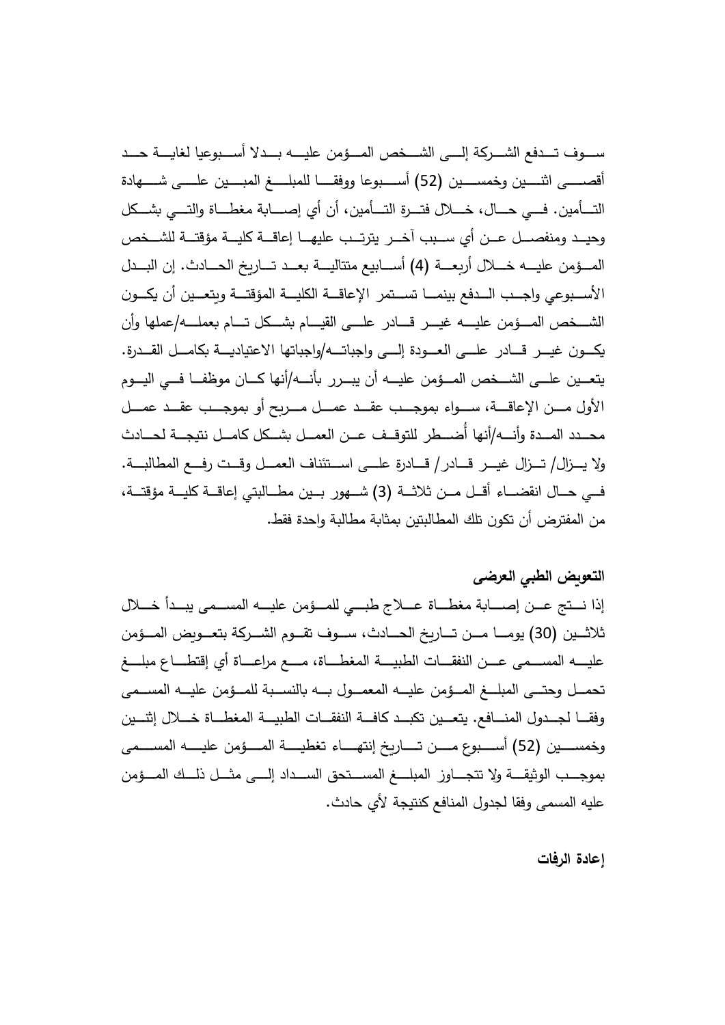ســــوف تــــدفع الشــــركة إلـــــي الشــــخص المـــؤمن عليــــه بــــدلا أســــبوعيا لغايــــة حـــد أقصـــــي اثنـــــين وخمســــين (52) أســـــبوعا ووفقـــــا للمبلـــــغ المبــــين علـــــي شــــــهادة التـــأمين. فـــي حــــال، خـــــلال فتــــرة التــــأمين، أن أي إصـــــابة مغطــــاة والتــــي بشـــكل وحيــد ومنفصـــل عــن أي ســبب آخــر يترتــب عليهـــا إعاقـــة كليـــة مؤقتـــة للشــخص المـــؤمن عليــــه خــــلال أربعــــة (4) أســــابيع متتاليــــة بعـــد تـــاريخ الحــــادث. إن البـــدل الأســـبوعي واجـــب الـــدفع بينمــــا تســـتمر الإعاقـــة الكليـــة المؤقتـــة وبتعـــين أن يكـــون الشـــخص المـــؤمن عليــــه غيـــر قــــادر علـــي القيـــام بشـــكل تـــام بعملــــه/عملها وأن يكــون غيــر قـــادر علـــى العـــودة إلـــى واجباتــــه/واجباتها الاعتياديـــة بكامـــل القـــدرة. يتعــين علـــي الشـــخص المـــؤمن عليـــه أن يبـــرر بأنــــه/أنها كـــان موظفـــا فـــي اليـــوم الأول مـــن الإعاقـــة، ســـواء بموجـــب عقـــد عمـــل مـــربح أو بموجـــب عقـــد عمـــل محــدد المــدة وأنـــه/أنها أُضـــطر للتوقــف عــن العمــل بشــكل كامــل نتيجــة لحـــادث ولا يــــزال/ تـــزال غيـــر قـــادر/ قـــادرة علـــى اســـتئناف العمـــل وقـــت رفــع المطالبـــة. فـــي حـــال انقضــــاء أقـــل مـــن ثلاثـــة (3) شـــهور بـــين مطـــالبتي إعاقـــة كليـــة مؤقتـــة، من المفترض أن تكون تلك المطالبتين بمثابة مطالبة وإحدة فقط.

# **التعو ض الطبي العرضى**

إذا نـــتج عـــن إصــــابة مغطـــاة عــــلاج طبـــي للمـــؤمن عليـــه المســـمي يبـــدأ خــــلال ثلاثــين (30) يومـــا مـــن تـــاربخ الحـــادث، ســـوف تقـــوم الشـــركة بتعـــوبض المـــؤمن عليـــــه المســــمى عــــن النفقــــات الطبيــــة المغطــــاة، مــــع مراعــــاة أي إقتطــــاع مبلــــغ تحمـــل وحتـــي المبلـــغ المـــؤمن عليــــه المعمـــول بـــه بالنســبة للمـــؤمن عليـــه المســـمـي وفقـــا لـجـــدول المنــــافـع. يتعـــين تكبـــد كافـــة النفقـــات الطبيـــة المغطـــاة خــــلال إثنـــين وخمســــين (52) أســــبوع مـــــن تــــــاربخ إنتهـــــاء تغطيــــة المـــــؤمن عليـــــه المســــمـى بموجـــب الوثيقـــة ولا تتجــــاوز المبلــــغ المســـتحق الســـداد إلــــي مثـــل ذلـــك المـــؤمن عليه المسمى وفقا لجدول المنافع كنتيجة لأى حادث.

**إعادة الرفات**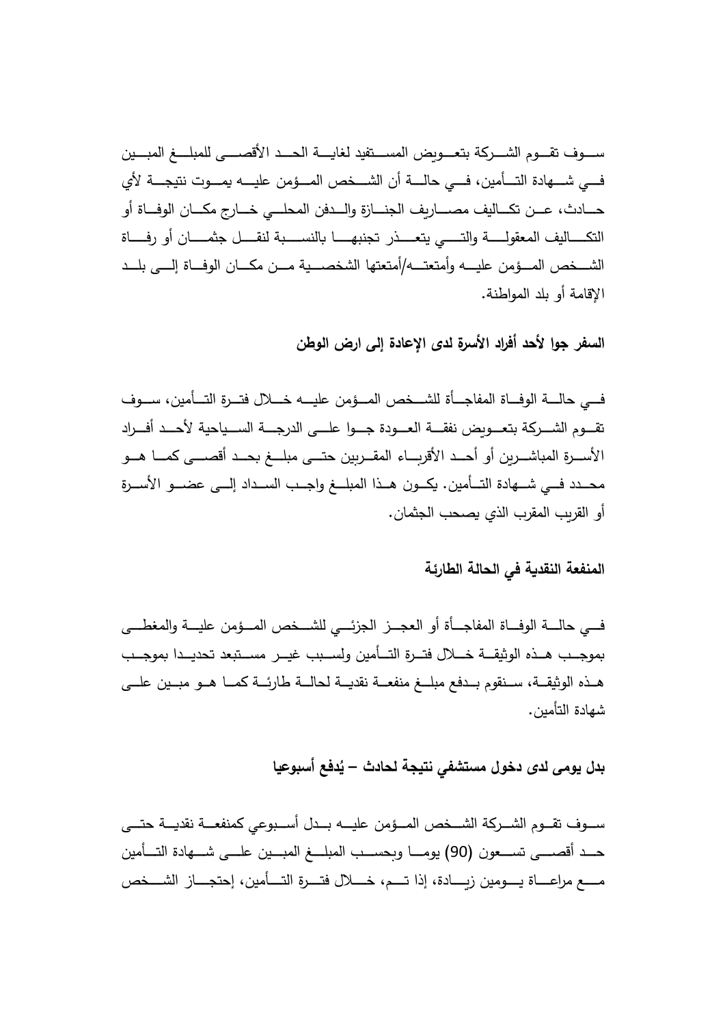ســــوف تقــــوم الشـــــركة بتعــــوىض المســـتفيد لـغايـــــة الحــــد الأقصـــــي للمبلـــــغ المبــــين فـــي شــــهادة التــــأمين، فــــي حالــــة أن الشـــخص المـــؤمن عليــــه يمــــوت نتيجــــة لأي حــــادث، عـــن تكــــاليف مصـــــاربف الـجنــــازة والـــدفن المحلـــي خــــارج مكــــان الوفـــاة أو التكــــــاليف المعقولـــــــة والتــــــى يتعــــــذر تجنبهـــــــــا بالنســـــبة لنقــــل جثمـــــان أو رفـــــاة الشـــخص المـــؤمن عليـــه وأمتعتـــه/أمتعتها الشخصـــية مـــن مكـــان الوفـــاة إلـــي بلـــد الإقامة أو بلد المواطنة.

السفر جوا لأحد أفراد الأسرة لدى الإعادة إل*ى* ارض الوطن

فـــي حالــــة الوفـــاة المفاجـــأة للشـــخص المـــؤمن عليــــه خـــلال فتـــرة التـــأمين، ســـوف نقـــوم الشــــركة بتعــــوبض نفقــــة الـعـــودة جــــوا علــــى الدرجــــة الســـياحية لأحـــد أفـــراد الأســـرة المباشـــربن أو أحـــد الأقربـــاء المقـــربين حتـــى مبلــــغ بحـــد أقصــــى كمــــا هـــو محـــدد فـــي شـــهادة التـــأمين. يكـــون هـــذا المبلـــغ واجـــب الســـداد إلـــي عضــــو الأســـرة أو القربب المقرب الذي يصحب الجثمان.

# المنفعة النقدية ف*ي* الحالة الطارئة

فـــي حالــــة الوفـــاة المفاجـــأة أو العجـــز الجزئـــي للشـــخص المـــؤمن عليـــة والمغطـــي بموجــب هــذه الوثيقـــة خـــلال فتــرة التـــأمين ولســبب غيــر مســتبعد تحديــدا بموجــب هــذه الوثيقــة، ســنقوم بــدفع مبلـــغ منفعــة نقديــة لـحالــة طارئــة كمــا هــو مبــين علـــى شهادة التأمين.

# **اعیسبوأ عفد ُ ث ادحلة جیتني فتشمسل وخى دلدى مویل بد – ی**

ســـوف تقـــوم الشـــركة الشـــخص المـــؤمن عليــــه بـــدل أســـبوعي كمنفعـــة نقديـــة حتـــي حـــد أقصــــي تســـعون (90) يومــــا وبحســـب المبلــــغ المبـــين علــــي شــــهادة التــــأمين مـــــع مراعــــاة يــــومين زيــــادة، إذا تــــم، خــــلال فتـــرة التــــأمين، إحتجــــاز الشــــخص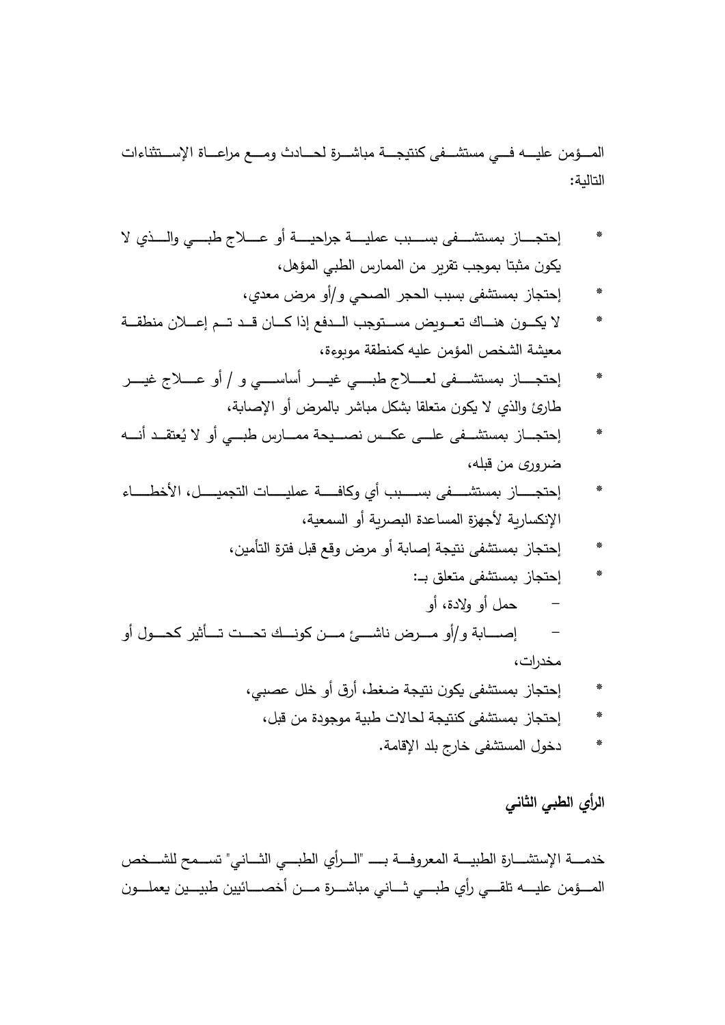المـــؤمن عليـــه فـــي مستشـــفي كنتيجـــة مباشـــرة لحـــادث ومـــع مراعـــاة الإســـتثناءات التاللة:

- إحتجـــــاز بمستشــــفي بســــبب عمليــــة جراحيــــة أو عــــلاج طبــــي والــــذي لا يكون مثبتا بموجب تقربر من الممارس الطبي المؤهل،
	- إحتجاز بمستشفى بسبب الحجر الصحى و/أو مرض معدى،
- لا يكــون هنـــاك تعــويض مســتوجب الـــدفع إذا كـــان قــد تــم إعـــلان منطقــة معيشة الشخص المؤمن عليه كمنطقة موبوءة،
- إحتجــــاز بمستشـــفي لعــــلاج طبــــي غيــــر أساســــي و / أو عــــلاج غيــــر طارئ والذي لا يكون متعلقا بشكل مباشر بالمرض أو الإصابة،
- \* إحتجـــاز بمستشـــفي علـــي عكــس نصـــيحة ممـــارس طبـــي أو لا يُعتقــد أنــــه ضروري من قبله،
- \* احتجــــــاز بمستشـــــفي بســـــبب أي وكافـــــة عمليـــــات التجميــــل، الأخطـــــاء الإنكسارية لأجهزة المساعدة البصرية أو السمعية،
	- إحتجاز بمستشفى نتيجة إصابة أو مرض وقع قبل فترة التأمين،
- إحتجاز بمستشفى متعلق بـ: – حمل أو ولادة، أو – إصــــابة و/أو مـــرض ناشــــئ مـــن كونـــك تحــت تـــأثير كحـــول أو مخدرات،
	- إحتجاز بمستشفى يكون نتيجة ضغط، أرق أو خلل عصبي،
	- إحتجاز بمستشفى كنتيجة لحالات طبية موجودة من قبل،
		- دخول المستشفى خارج بلد الإقامة.

الرأ*ى* الطب*ى* الثان*ى* 

خدمــــة الإستشــــارة الطبيــــة المعروفـــة بـــــ "الــــرأى الطبــــي الشـــانـي" تســـمح للشـــخص المــــؤمن عليــــه نلقـــي رأى طبــــي ثــــاني مباشــــرة مـــن أخصــــائيين طبيـــين يعملـــون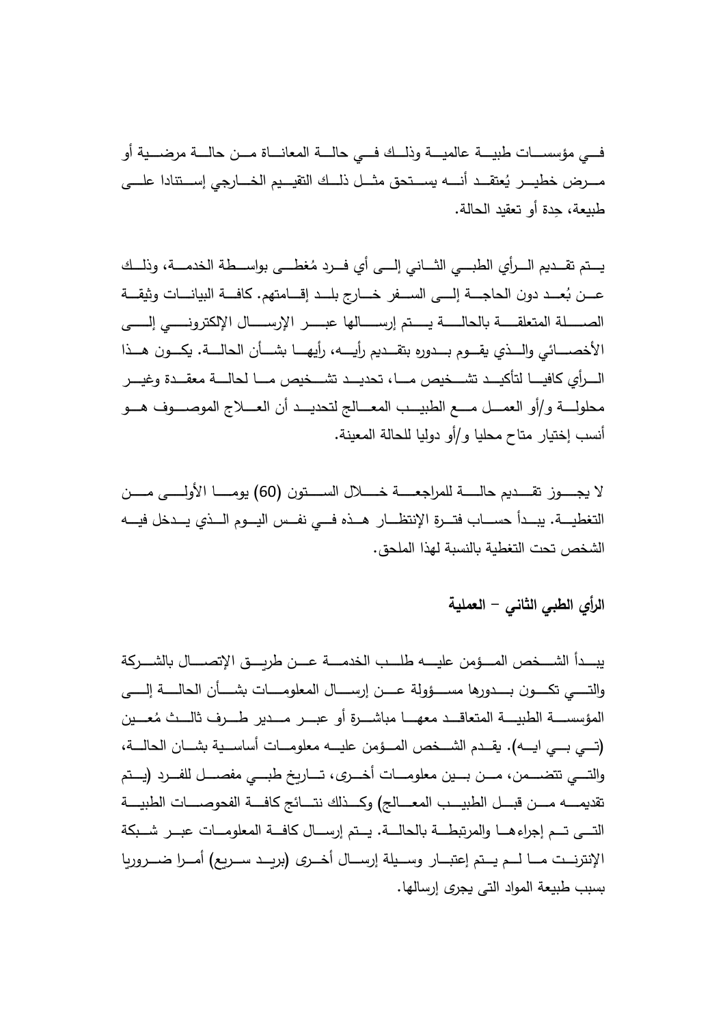وأ ةیضـــــرم ةلـــــاح نمـــــ ةانـــــاعملا ةلـــــاح ي فـــــلـــــكذو ةیـــــملاع ةیـــــبط تاســـــسؤم يــــفـ مــــــرض خطيـــــر يُعتقـــد أنـــــه يســـتحق مثــــل ذلـــك التقيـــيم الخــــارجي إســـتنادا علــــي طبيعة، حدة أو تعقيد الحالة.

يـــتم تقـــديم الـــرأى الطبـــي الثـــاني إلـــي أي فـــرد مُغطـــي بواســـطة الـخدمـــة، وذلـــك عـــن بُعـــد دون الحاجــــة إلــــى الســـفر خــــارج بلـــد إقــــامتهم. كافــــة البيانــــات وثيقــــة الصـــــلة المتعلقـــــة بالحالـــــة يــــتم إرســـــالها عبـــــر الإرســــال الإلكترونـــــى إلــــــى الأخصــــائـي والــــذي يقــــوم بــــدوره بتقـــديم رأيـــــه، رأيهـــــا بشـــأن الحالــــة. يكــــون هـــذا الـــرأى كافيـــــا لتأكيـــد تشـــخيص مــــا، تحديـــد تشـــخيص مــــا لحالــــة معقـــدة وغيـــر محلولــــة و /أو العمــــل مــــع الطبيــــب المعــــالـج لتحديـــد أن العــــلاج الموصــــوف هـــو أنسب إختيار متاح محليا و/أو دوليا للحالة المعينة.

وتـــــــسـلا لـــــــلاخـ ةـــــــعـجارملل ةـــــــلـاح م دـــــــقـت زوـــــــجـ لا ن (60 نـــــــمـ ىـــــــلـولأا اـــــــمـوی ) التغطيــــة. يبـــدأ حســــاب فتـــرة الإنتظـــار هـــذه فـــي نفــس اليـــوم الـــذي يـــدخل فيــــه الشخص تحت التغطية بالنسبة لهذا الملحق.

# الرأى الطبي الثاني – الع*م*لية

يبـــدأ الشـــخص المـــؤمن عليــــه طلـــب الخدمــــة عـــن طربـــق الإتصــــال بالشـــركة والتــــي تكــــون بـــــدورها مســــؤولة عــــن إرســــال المعلومــــات بشــــأن الحالــــة إلـــــي المؤسســــة الطبيـــــة المتعاقــــد معهـــــا مباشــــرة أو عبــــر مــــدير طــــرف ثالــــث مُعــــين (تــــى بــــى ايـــــه). يقـــدم الشــــخص المـــؤمن عليــــه معلومـــات أساســية بشـــان الحالــــة، والتـــي تتضــــمن، مـــن بـــين معلومـــات أخـــري، تـــاريخ طبـــي مفصـــل للفـــرد (يـــتم تقديمــــــه مــــن قبــــل الطبيــــب المعــــالج) وكــــذلك نتــــائج كافــــة الفحوصــــات الطبيــــة التــــى تـــم إجراءهــــا والمرتبطـــة بالـحالـــة. يـــتم إرســـال كافـــة المعلومـــات عبـــر شـــبكة الإنترنــت مـــا لـــم يــتم إعتبـــار وســـيلة إرســـال أخـــرى (بربـــد ســـربـع) أمـــرا ضــــروربا بسبب طبيعة المواد التي يجرى إرسالها.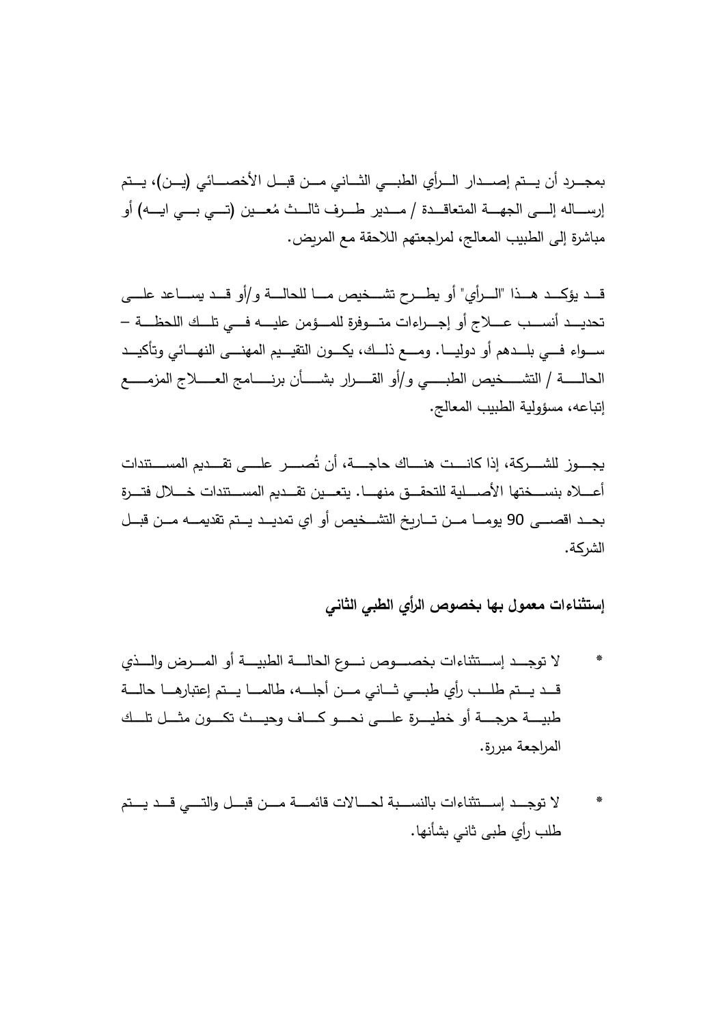بمجـــرد أن يـــتم إصــــدار الـــرأي الطبـــي الثـــاني مـــن قبـــل الأخصــــائي (يـــن)، يــتم إربســـالـه إلــــي الجهــــة المتعاقـــدة / مـــدير طـــرف ثالـــث مُعـــين (تـــي بـــي ايــــه) أو مباشرة إلى الطبيب المعالج، لمراجعتهم اللاحقة مع المربض.

قـــد يؤكـــد هـــذا "الــــرأي" أو يطــــرح تشـــخيص مــــا للحالــــة و/أو قـــد يســــاعد علــــي تحديـــد أنســـب عــــلاج أو إجـــراءات متـــوفرة للمـــؤمن عليــــه فـــى تلــك اللحظـــة – ســـواء فـــي بلـــدهم أو دوليــــا. ومـــــع ذلـــك، يكــــون التقيـــيم المهنــــي النهــــائي وتأكيـــد و يـــــــبـطلا صیخـــــــشـتلا /ةـــــــلـاحلا / عـــــــمـزملا جـــــــلاعـلا جماـــــــنـرب نأـــــــشـ رارـــــــقـلا وأ إنباعه، مسؤولية الطبيب المعالج.

يجــــوز للشــــركة، إذا كانـــت هنــــاك حاجــــة، أن تُصــــر علــــى تقـــديم المســـتندات أعــــلاه بنســـختها الأصــــلية للتحقـــق منهـــا. يتعـــين تقـــديم المســـتندات خــــلال فتـــرة بحــد اقصـــى 90 يومـــا مــن تـــاربخ التشـــخيص أو اى تمديــد يــتم تقديمـــه مــن قبــل الشركة.

**إستثناءات معمول بها خصوص الرأي الطبي الثاني**

- لا توجـــد إســـتثناءات بخصــــوص نـــوع الـحالــــة الطبيــــة أو المــــرض والــــذي قـــد يـــتم طلـــب رأى طبــــى ثـــانى مـــن أجلــــه، طالمـــا يـــتم إعتبارهـــا حالــــة وـــــكـت ثـــــیـحو افـــــ ـ وـــــحـن ىـــــلـع ةرـــــیـطخ وأ ةـــــجـرح ةـــــیـبط ن ـــــكلـت لـــــثـم المراجعة مبررة.
- لا توجـــد إســـتثناءات بالنســـبة لحــــالات قائمــــة مـــن قبـــل والتــــى قـــد يـــتم طلب رأى طبي ثاني بشأنها.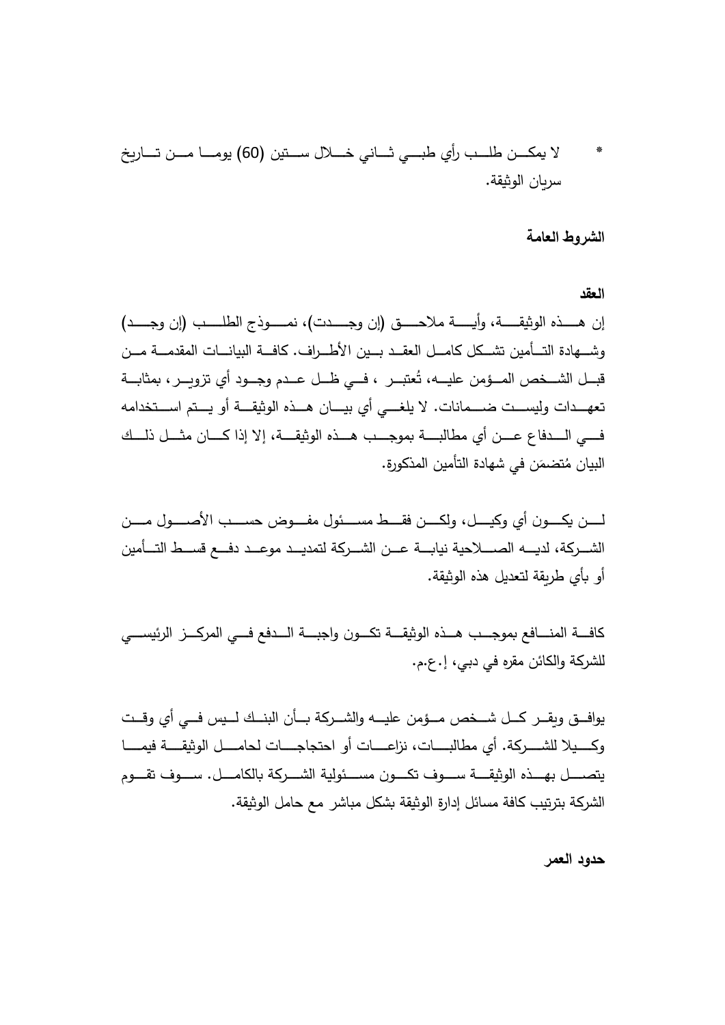\* تـــــسـ لـــــلاخـ يناـــــثـ يـــــبـط يأر بـــــلـط نـــــكـم لا ی (ن 60 خ راـــــتـ نـــــمـ اـــــمـوی ) ا سر .ةقیثو الن

## الشر و**ط العامة**

**العقد**

إن هــــذه الوثيقــــة، وأيـــــة ملاحــــق (إن وجــــدت)، نمــــوذج الطلــــب (إن وجــــد) وشـــهادة التـــأمين تشـــكل كامـــل العقــد بـــين الأطـــراف. كافـــة البيانـــات المقدمـــة مـــن قبـــل الشـــخص المـــؤمن عليـــه، تُعتبـــر ، فـــي ظـــل عـــدم وجـــود أي تزويـــر ، بمثابـــة تعهـــدات وليســـت ضــــمانات. لا يلغـــی أي بيـــان هـــذه الوثيقـــة أو يـــتم اســـتخدامه فــــى الـــــدفاع عــــن أي مطالبـــــة بموجــــب هـــذه الوثيقــــة، إلا إذا كــــان مثــــل ذلـــك البيان مُتضمَن في شهادة التأمين المذكورة.

نلــــــ وكــــــ ن لیــــــ و يأ ، نــــــمـ لوصــــــلأا بســــــح ضوفــــــم لوئســــــم طــــــقـ فنكــــــلو الشـــركـة، لديــــه الصـــــلاحية نيابـــة عـــن الشـــركـة لتمديــد موعـــد دفـــع قســـط التـــأمين أو بأى طريقة لتعديل هذه الوثيقة.

كافـــة المنــــافـع بموجــــب هـــذه الوثيقــــة تكـــون واجبــــة الــــدفـع فــــي المركــــز الرئيســــي للشركة والكائن مقره في دبي، إ. ع.م.

يوافــق ويقــر كـــل شـــخص مـــؤمن عليـــه والشـــركة بـــأن البنـــك لـــيس فـــي أي وقــت وكــــيلا للشـــــركة. أي مطالبـــــات، نزاعـــــات أو احتجاجــــات لحامــــل الوثيقــــة فيمــــا يتصــــل بهـــذه الوثيقــــة ســــوف تكــــون مســـئولية الشــــركة بالكامــــل. ســــوف تقــــوم الشركة بترتيب كافة مسائل إدارة الوثيقة بشكل مباشر ٍ مع حامل الوثيقة.

**حدود العمر**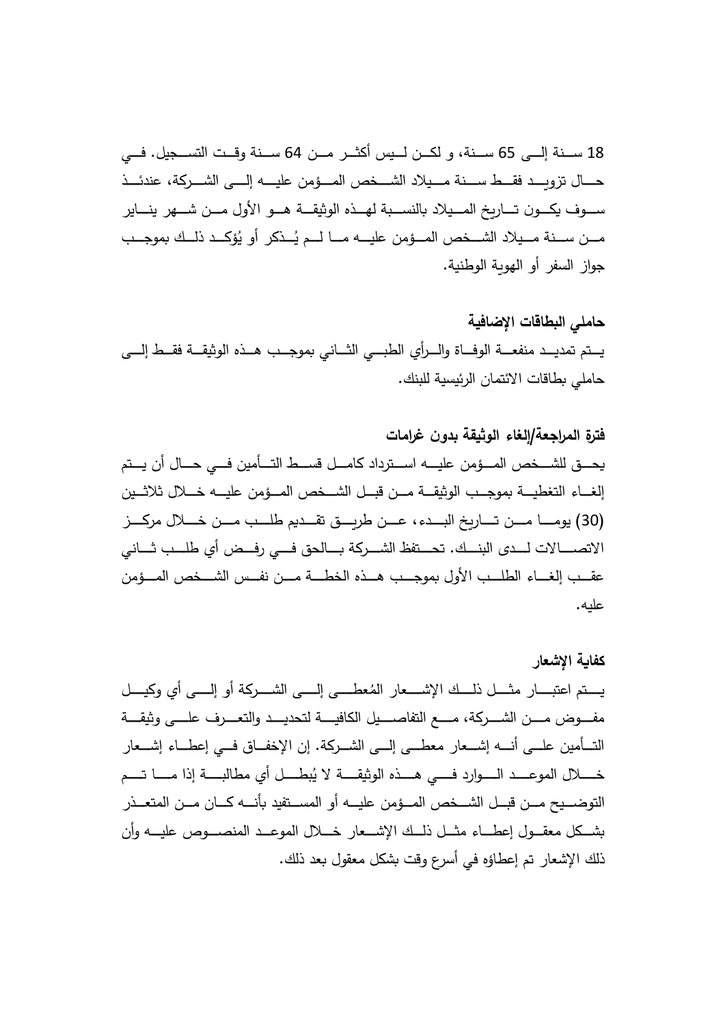18 ســنة إلـــي 65 ســنة، و لكــن لــيس أكثــر مــن 64 ســنة وقــت التســـجيل. فـــي حــــال تزويـــد فقـــط ســــنة مـــيلاد الشـــخص المـــؤمن عليــــه إلــــي الشــــركة، عندئـــذ ســـوف يكـــون تـــارىخ المـــيلاد بالنســـبة لهـــذه الوثيقـــة هـــو الأول مـــن شـــهر ينـــاير مـــن ســـنة مـــيلاد الشـــخص المـــؤمن عليـــه مــــا لـــم يُـــذكر أو يُؤكـــد ذلـــك بموجـــب جواز السفر أو الهوية الوطنية.

**حاملي البطاقات الإضافیة**  يـــتم تمديـــد منفعـــة الوفـــاة والـــرأى الطبـــي الثـــاني بموجـــب هـــذه الوثيقـــة فقــط إلــــي حاملي بطاقات الائتمان الرئيسية للبنك.

**فترة المراجعة/إلغاء الوثیقة بدون غرامات**  يحــــق للشـــخص المـــؤمن عليــــه اســـترداد كامـــل قســـط التــــأمين فـــي حـــال أن يـــتم إلغـــاء التغطيـــة بموجـــب الوثيقـــة مـــن قبــل الشـــخص المـــؤمن عليـــه خـــلال ثلاثـــين (30 زـــــ ـرم لـــــلاخـ نـــــمـ بـــــلـط م دـــــقـت قـــــ ـرط نـــــعـ دء،ـــــبـلا خ راـــــتـ نـــــمـ اـــــمـوی ) الاتصـــــالات لــــدى البنـــك. تحـــتفظ الشـــركة بـــالحق فـــى رفـــض أي طلـــب شـــانى عقـــب إلغـــاء الطلـــب الأول بموجـــب هـــذه الخطــــة مـــن نفــس الشـــخص المـــؤمن علیه.

**كفا ة الإشعار**  يستم اعتبـــار مثـــل ذلـــك الإشــــعار المُعطـــي إلــــي الشــــركة أو إلــــي أي وكيــــل مفــــوض مــــن الشــــركة، مــــع التفاصــــيل الكافيــــة لتحديـــد والتعــــرف علــــى وثيقــــة التـــأمين علـــي أنــــه إشـــعار معطـــي إلـــي الشـــركـة. إن الإخفـــاق فـــي إعطـــاء إشـــعار خـــــــلال الموعـــــد الــــــوارد فـــــي هـــــذه الوثيقـــــة لا يُبطــــل أي مطالبـــــة إذا مــــــا تــــم التوضـــيح مـــن قبـــل الشـــخص المـــؤمن عليـــه أو المســـتفيد بأنــــه كـــان مـــن المتعـــذر بشـــكل معقـــول إعطـــاء مشــل ذلــك الإشـــعار خــــلال الموعــد المنصــــوص عليـــه وأن ذلك الإشعار تم إعطاؤه في أسرع وقت بشكل معقول بعد ذلك.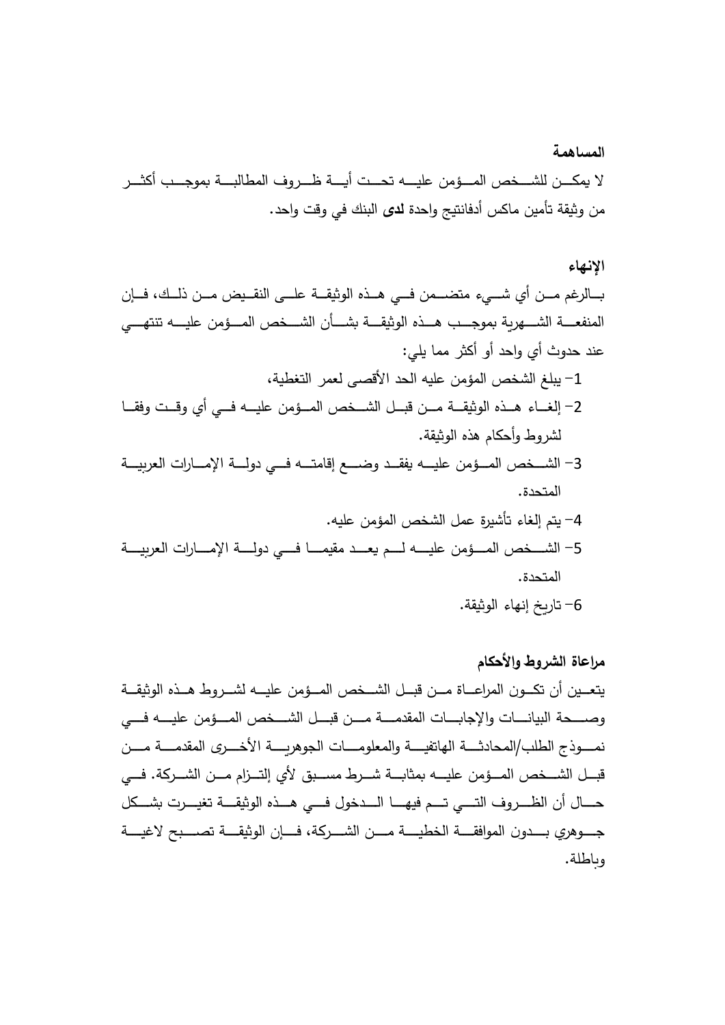**المساهمة**  لا بمكـــن للشـــخص المـــؤمن عليــــه تحـــت أيــــة ظـــروف المطالبــــة بموجـــب أكثـــر من وثيقة تأمين ماكس أدفانتيج واحدة **لدى** البنك في وقت واحد.

## **الإنهاء**

بـــالرغم مـــن أي شـــيء متضـــمن فـــي هــذه الوثيقـــة علـــي النقــيض مــن ذلــك، فـــإن المنفعـــة الشــــهربـة بموجــــب هـــذه الوثيقــــة بشـــأن الشـــخص المـــؤمن عليــــه تتتهــــي عند حدوث أي واحد أو أكثر مما يلي: 1- يبلغ الشخص المؤمن عليه الحد الأقصبي لعمر التغطية، 2– إلغــاء هــذه الوثيقـــة مـــن قبـــل الشـــخص المـــؤمن عليـــه فـــي أي وقــت وفقـــا لشر وط وأحكام هذه الوثيقة.

3– الشـــخص المـــؤمن عليــــه يفقــد وضــــع إقامتـــه فـــي دولــــة الإمــــارات العربيـــة المتحدة. 4– يتم إلغاء تأشيرة عمل الشخص المؤمن عليه. -5 ةـــــیـ رعلا تاراـــــمـلإا ةـــــلـود يـــــ فـاـــــمـیقم دـــــعـ مـــــلـ هـــــیـلع نمؤـــــمـلا صخـــــشـلا المتحدة.

## 6– تارىخ إنهاء الوثيقة.

**مراعاة الشروط و الأحكام**  يتعــين أن تكـــون المراعـــاة مـــن قبـــل الشـــخص المـــؤمن عليـــه لشـــروط هـــذه الوثيقـــة وصــــحة البيانــــات والإجابــــات المقدمــــة مــــن قبـــل الشــــخص المــــؤمن عليــــه فــــي نمــــوذج الطلب/المحادثــــة الـهاتفيــــة والمعلومــــات الجوهريــــة الأخــــرى المقدمــــة مــــن قبـــل الشـــخص المـــؤمن عليــــه بمثابـــة شـــرط مســـبق لأي إلتـــزام مـــن الشـــركة. فـــي حــــال أن الظــــروف التــــي تــــم فيهـــــا الـــــدخول فــــي هــــذه الوثيقــــة تغيــــرت بشـــكل جــــوهرى بــــدون الموافقــــة الخطيــــة مــــن الشــــركـة، فــــان الوثيقــــة تصـــــبح لاغيــــة وباطلة.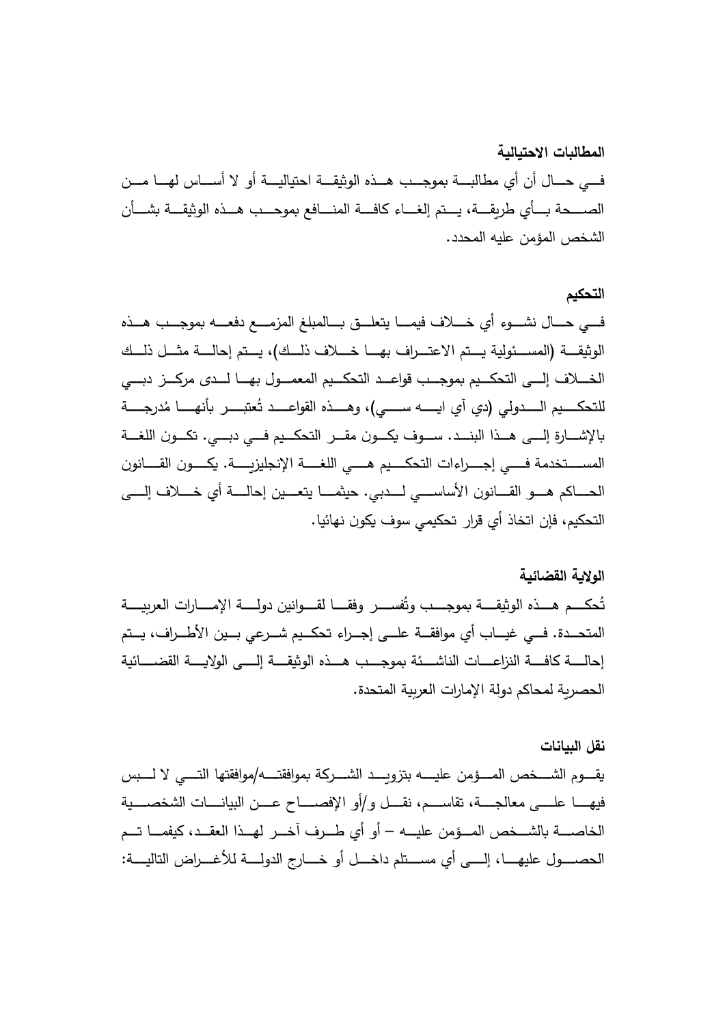**المطالبات الاحتیالیة** فــــى حــــال أن أي مطالبــــة بموجـــب هـــذه الوثيقـــة احتياليــــة أو لا أســــاس لهــــا مـــن الصــــحة بـــأى طربقــــة، يـــتم إلغـــاء كافـــة المنـــافع بموحـــب هـــذه الوثيقـــة بشـــأن الشخص المؤمن عليه المحدد .

## **التحكیم**

فــــى حــــال نشــــوء أي خـــــلاف فيمــــا يتعلــــق بــــالمبلـغ المزمــــع دفعــــه بموجـــب هـــذه الوثيقـــة (المســئولية يـــتم الاعتـــراف بهــــا خـــلاف ذلـــك)، يـــتم إحالــــة مثـــل ذلـــك الخـــلاف إلــــي التحكـــيم بموجـــب قواعـــد التحكـــيم المعمـــول بهـــا لـــدى مركـــز دبــــي للتحكــــيم الــــــدولي (دي آي ايـــــه ســـــي)، وهـــــذه القواعــــد تُعتبــــر بأنهـــــا مُدرجــــة بالإشــــارة إلــــي هـــذا البنـــد. ســـوف يكـــون مقـــر التحكـــيم فــــي دبــــي. تكـــون اللغـــة المســــتخدمة فــــى إجـــــراءات التحكــــيم هــــى اللغــــة الإنجليزيـــــة. يكـــــون القـــــانون الحــــاكم هـــو القــــانون الأساســـي لــــدبي. حيثمـــا يتعـــين إحالــــة أي خــــلاف إلــــي التحكيم، فإن اتخاذ أي قرار تحكيمي سوف يكون نهائيا.

# **الولا ة القضائیة**

تُحكـــم هـــذه الوثيقــــة بموجــــب وتُفســــر وفقــــا لقــــوانين دولــــة الإمــــارات العربيــــة المتحــدة. فــي غيـــاب أي موافقـــة علـــي إجــراء تحكــيم شــرعي بــين الأطــراف، يــتم إحالـــــة كافـــــة النزاعــــات الناشــــئة بموجــــب هـــذه الوثيقــــة إلـــــي الولايــــة القضـــــائية الحصربة لمحاكم دولة الإمارات العربية المتحدة.

## **نقل البیانات**

يقــــوم الشــــخص المــــؤمن عليــــــه بتزوبــــد الشــــركة بموافقتــــه/موافقتها التــــى لا لـــــبس فيهــــــا علـــــى معالجــــة، تقاســــم، نقــــل و/أو الإفصـــــاح عــــن البيانـــــات الشخصــــية الخاصــــة بالشـــخص المـــؤمن عليـــه – أو أي طـــرف آخـــر لهـــذا العقــد، كيفمـــا تـــم الـحصـــــول عليهـــــا، إلـــــي أي مســــتلم داخــــل أو خـــــارج الدولـــــة للأغــــراض التاليــــة: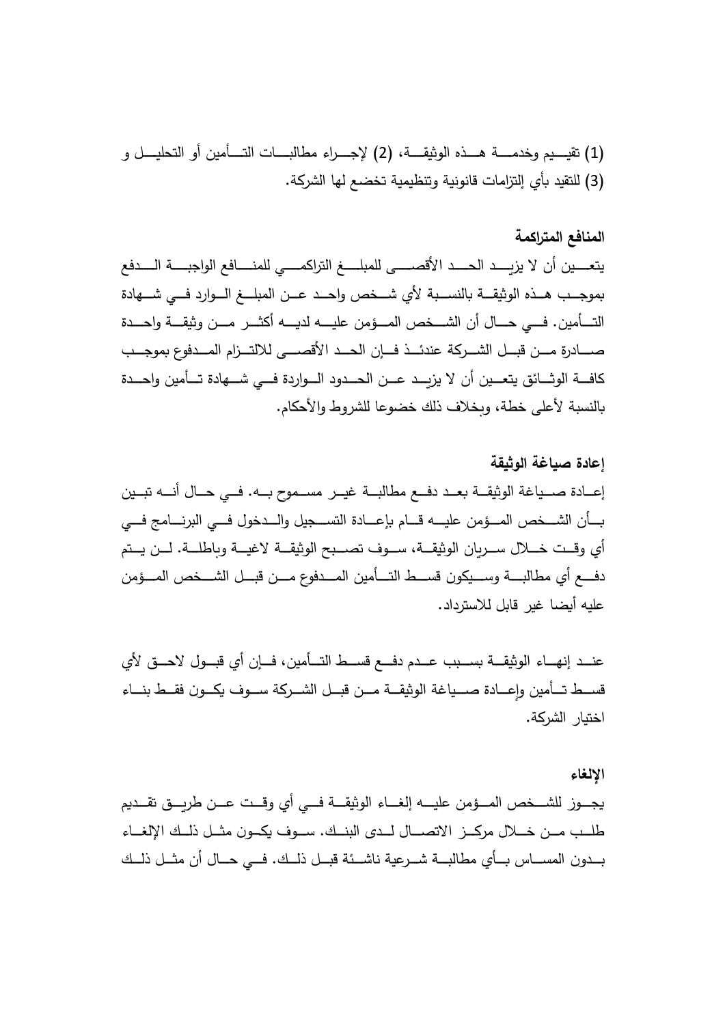(1 (ة،ـــــقـیثولا هذـــــهـ ةـــــمـدخو میـــــیـقت ) 2 و لـــــیـلحتلا وأ نیمأـــــتـلا تاـــــبـلاطم اءرـــــجـلإ ) (3) للتقيد بأي إلتزامات قانونية وتنظيمية تخضع لها الشركة.

# **المنافع المتراكمة**

يتعــــين أن لا يزيــــد الحــــد الأقصـــــى للمبلـــــغ التراكمـــــي للمنـــــافع الواجبـــــة الـــــدفع بموجــب هــذه الوثيقـــة بالنســبة لأي شـــخص واحــد عــن المبلـــغ الـــوارد فـــي شـــهادة التـــأمين. فـــي حـــال أن الشـــخص المـــؤمن عليــــه لديــــه أكثــــر مـــن وثيقـــة واحـــدة صـــــادرة مـــن قبـــل الشـــركة عندئـــذ فـــإن الـحــد الأقصــــى للالتـــزام المـــدفوع بموجـــب كافـــة الوشــائق يتعـــين أن لا يزىـــد عـــن الحـــدود الـــواردة فـــى شــــهادة تـــأمين واحـــدة بالنسبة لأعلى خطة، وبخلاف ذلك خضوعا للشروط والأحكام.

**إعادة صیاغة الوثیقة**  إعـــادة صـــياغة الوثيقـــة بعــد دفـــع مطالبـــة غيـــر مســموح بـــه. فـــي حـــال أنـــه تبـــين بـــأن الشـــخص المـــؤمن عليــــه قـــام بإعـــادة التســـجيل والـــدخول فـــي البرنــــامج فـــي أي وقــت خـــلال ســـريان الوثيقـــة، ســـوف تصـــبح الوثيقـــة لاغيـــة وباطلـــة. لـــن يــتم دفــــع أي مطالبــــة وســــيكون قســــط التــــأمين المــــدفوع مــــن قبـــل الشــــخص المــــؤمن علیه أیضا غیر قابل للاسترداد.

عنـــد إنهــــاء الوثيقــــة بســـبب عـــدم دفــــع قســـط التــــأمين، فـــإن أي قبـــول لاحـــق لأي قســط تــأمين وإعـــادة صـــياغة الوثيقــة مــن قبــل الشــركة ســـوف يكــون فقــط بنـــاء اختيار الشركة.

### **الإلغاء**

يجـــوز للشـــخص المـــؤمن عليــــه إلغـــاء الوثيقـــة فـــي أي وقـــت عـــن طربـــق نقـــديم طلــب مـــن خـــلال مركـــز الاتصـــال لـــدى البنـــك. ســـوف يكـــون مثــل ذلــك الإلغــاء بـــدون المســــاس بـــأي مطالبـــة شـــرعية ناشـــئة قبـــل ذلــك. فـــي حـــال أن مثـــل ذلــك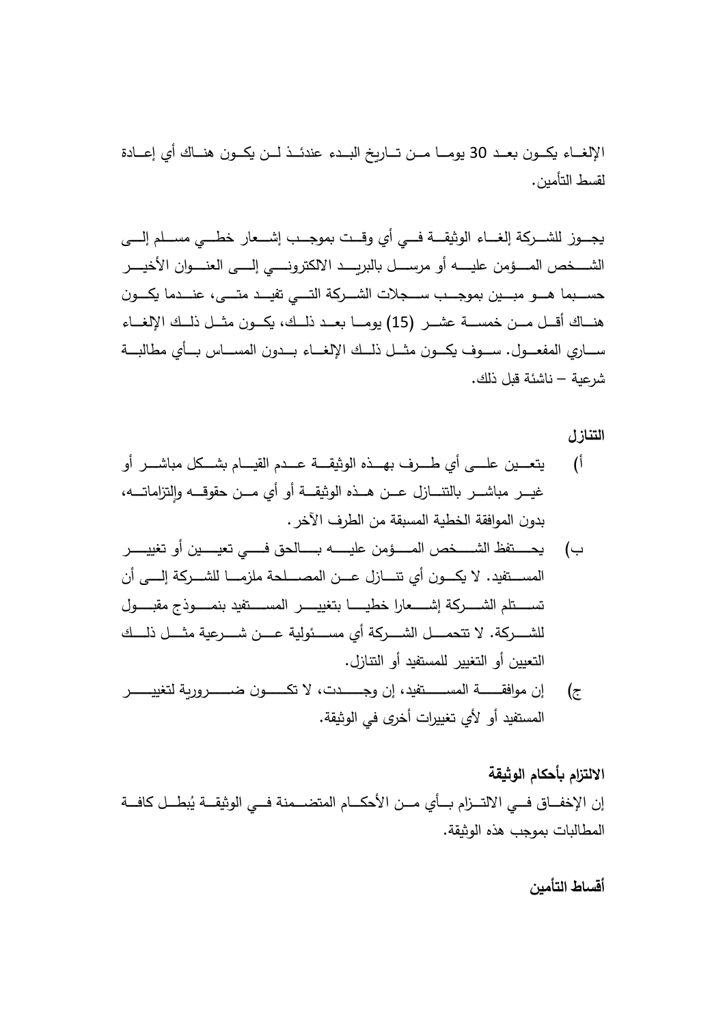الإلغــاء يكــون بعــد 30 يومـــا مــن تـــارىخ البــدء عندئــذ لــن يكــون هنــاك أي إعـــادة لقسط التأمين.

يجـــوز للشـــركة إلغـــاء الوثيقـــة فـــي أي وقـــت بموجـــب إشـــعار خطـــي مســلم إلــــي الشــــخص المــــؤمن عليــــــه أو مرســــل بالبربــــد الالكترونـــــي إلـــــي العنــــوان الأخيــــر حســـبما هــــو مبــــين بموجــــب ســـجلات الشـــركـة التــــي تفيـــد متــــي، عنـــدما يكــــون هنـــاك أقـــل مـــن خمســـة عشـــر (15) يومـــا بعــد ذلــك، يكــون مثـــل ذلــك الإلغـــاء ســــاري المفعـــول. ســـوف يكـــون مثـــل ذلـــك الإلغـــاء بـــدون المســــاس بـــأي مطالبـــة شرعية – ناشئة قبل ذلك.

**التنازل** 

- أ) يتعـــين علـــي أي طـــرف بهـــذه الوثيقـــة عـــدم القيـــام بشـــكل مباشـــر أو غيــــر مباشــــر بالتتــــازل عـــن هـــذه الوثيقـــة أو أي مـــن حقوقـــه والتزاماتـــه، بدون الموافقة الخطية المسبقة من الطرف الآخر .
- ب) يحـــــتفظ الشـــــخص المـــــؤمن عليـــــه بـــــالحق فــــي تعيــــين أو تغييـــــر المســـتفيد. لا يكــــون أى تنـــــازل عــــن المصـــــلحة ملزمــــا للشــــركة إلـــــى أن تســـــتلم الشــــــركة إشــــــعارا خطيــــــا بتغييـــــــر المســـــتفيد بنمـــــوذج مقبـــــول للشــــــركة. لا تتحمـــــل الشـــــركة أي مســــئولية عــــن شـــــرعية مثــــل ذلــــك التعيين أو التغيير للمستفيد أو التنازل.
- ج) إن موافقـــــــة المســـــــتفيد، إن وجـــــــدت، لا تكــــــون ضــــــــروربـة لتغييــــــر المستفيد أو لأي تغييرات أخرى في الوثيقة.

# **الا لتزام أحكام الوثیقة**

إن الإخفـــاق فـــي الالتـــزام بـــأي مـــن الأحكــــام المتضــــمنة فـــي الوثيقـــة يُبطـــل كافـــة المطالبات بموجب هذه الوثيقة.

**أقساط التأمین**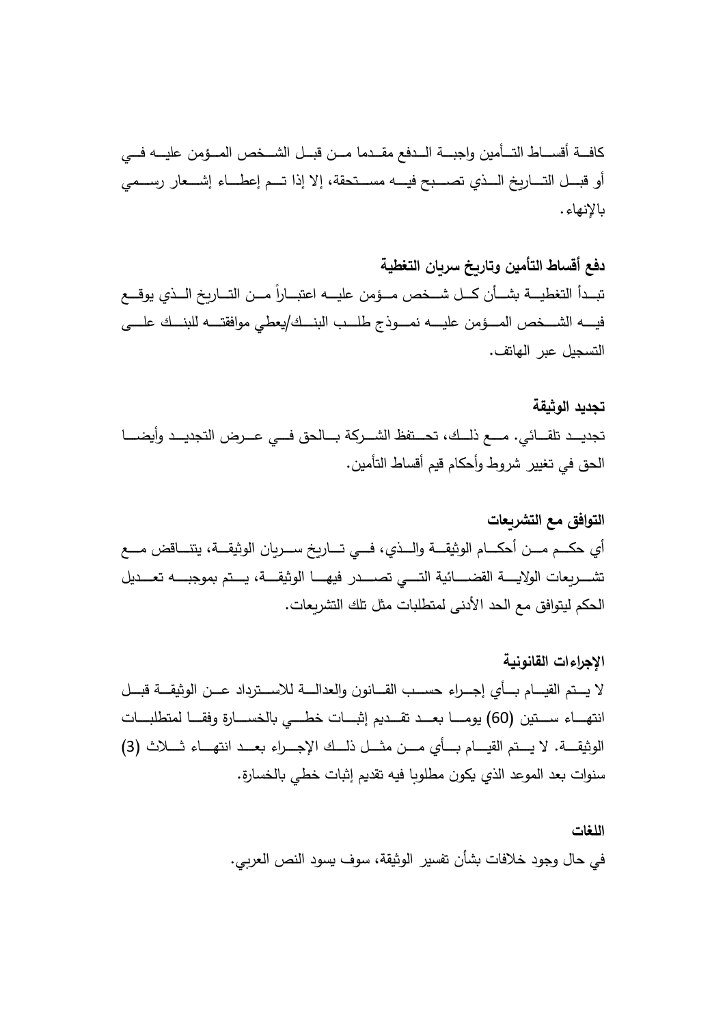كافـــة أقســـاط التـــأمين واجبـــة الـــدفع مقــدما مـــن قبــل الشـــخص المـــؤمن عليـــه فـــي أو قبـــل التــــاربخ الـــذي تصــــبح فيــــه مســـتحقة، إلا إذا تـــم إعطــــاء إشــــعار رســـمي . ءانهلإا

**دفع أقساط التأمین و سر انتار خ التغطیة**  تبــدأ التغطيــــة بشـــأن كـــل شـــخص مـــؤمن عليــــه اعتبـــاراً مـــن التـــاريخ الـــذي يوقـــع ىــــلـع ــــكنـبلل هــــتـقافوم يطع ـــــك/نـبلا بــــلـط جذوــــمـن هــــیـلع نمؤــــمـلا صخــــشـلا هــــیـف التسجيل عبر الهاتف.

# **تجدید الوثیقة**  تجديــد تلقـــائـي. مــــع ذلـــك، تحـــتفظ الشـــركة بـــالحق فـــي عـــرض التجديــد وأيضــــا الحق في تغيير شروط وأحكام قيم أقساط التأمين.

**التوافق مع التشر عات**  نا رــــسـ خ راــــتـ يــــ فـي،ذــــلـاو ةــــقـیثولا ماــــكـحأ نــــمـ مــــكـح يأ عــــمـ ضاقــــنـتی ة،ــــقـیثولا لیدـــــعـت هـــــبـجوم متـــــیـ ة،ـــــقـیثولا اـــــهـی فردـــــصـت يـــــتـلا ةیئاـــــضـقلا ةـــــ ـلاولا تاع رـــــشـت مكحال . تا عرتشلاك لتل ثت مابلتطلمى ندلأاد حلاع فق ماوتیل

**الإجراءات القانونیة**  لا يـــتم القيــــام بـــأى إجـــراء حســـب القـــانون والعدالــــة للاســـترداد عـــن الوثيقـــة قبـــل انتهـــــاء ســـتين (60) يومــــــا بعــــد تقــــديم إثبــــات خطــــى بالخســــارة وفقــــا لمتطلبــــات الوثيقـــة. لا يـــتم القيــــام بـــأي مـــن مثـــل ذلـــك الإجـــراء بعـــد انتهـــاء ثـــلاث (3) سنوات بعد الموعد الذي يكون مطلوبا فيه تقديم إثبات خطي بالخسارة.

> **اللغات**  في حال وجود خلافات بشأن تفسير الوثيقة، سوف يسود النص العربي.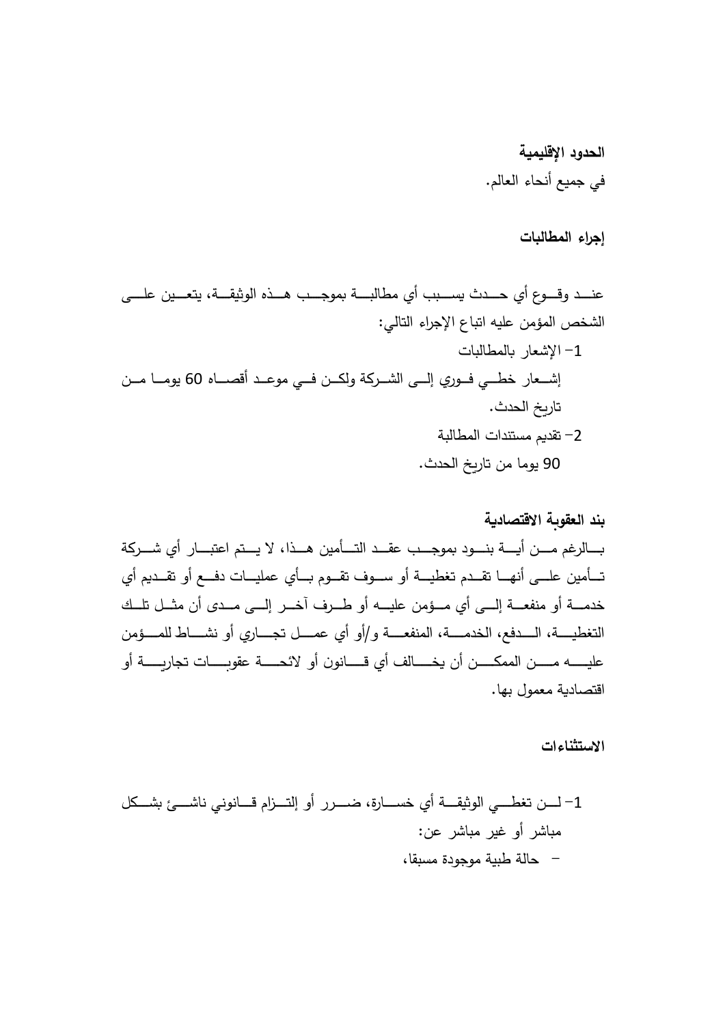**الحدود الإقلیمیة**  في جميع أنحاء العالم.

إجراء المطالبات

ع نیــــعـتی ة،ــــقـیثولا هذــــهـ بــــجـوم ةبـــــلاطم يأ ببــــسـ ثدــــحـ يأ عوــــقـو دــــنـع ىلـــــ : يالت الءاجرلإ اعابت اهیعل نمؤم الصخشال -1 ت ابلالمطا ر الإشعا رو فــــيطــــخ راعـــشـإ ي لـإ هاصــــأق دـــعـوم ي فــــنكــــلو ة رشــــلا ىـــ 60 نمــــ امــــوی .ثدح الخ ارت -2 ة بلالمطات ادنتم مس دقت 90 . ثدحلاخ راتن ا مموی

**بند العقو ة الاقتصاد ة** ة رــــشـ يأ راــــبـتعا متــــیـ لا ا،ذــــهـ نیمأــــتـلا دــــقـع بــــجـوم دوــــنـب ةــــ ـأ نــــمـ مغرلاــــ ـ يأ م دــــقـت وأ عــــدفـ تاــــیـلمع يأــــ ـ موــــقـت فوــــسـ وأ ةــــیـطغت مدــــقـت اــــهـنأ ىــــلـع نیمأــــتـ هــــیـلع نمؤــــمـ يأ ىــــلـإ ةــــعـفنم وأ ةــــمـدخ ــــكلـت لــــثـم نأ ىدــــمـ ىــــلـإ رــــخـآ فرــــطـ وأ راـــــجـت لـــــمـع يأ وأو/ ةـــــعـفنملا ة،ـــــمـدخلا ع،دفـــــلـا ة،ـــــیـطغتلا ي نمؤـــــمـلل طاـــــشـن وأ وناـــــــ قـيأ لفاـــــــخـ نأ نـــــــكـمملا نـــــــمـ هـــــــیـلع ن ةـــــــ ـراجت تاـــــــ ـوقع ةـــــــحـئلا وأ أو ةداصتقا ابهل ومعم .

 **تاءانستثلاا**

-1 لكــــشـ ئــــشـان ينوناــــ قـمازــــتـلإ وأ ررــــضـ ة،راــــسـخ يأ ةــــقـیثولا يــــطـغت نــــلـ ر اشبم : نعر اشبر میغو أ - یةبط لةاح ، اقبة مسدوجوم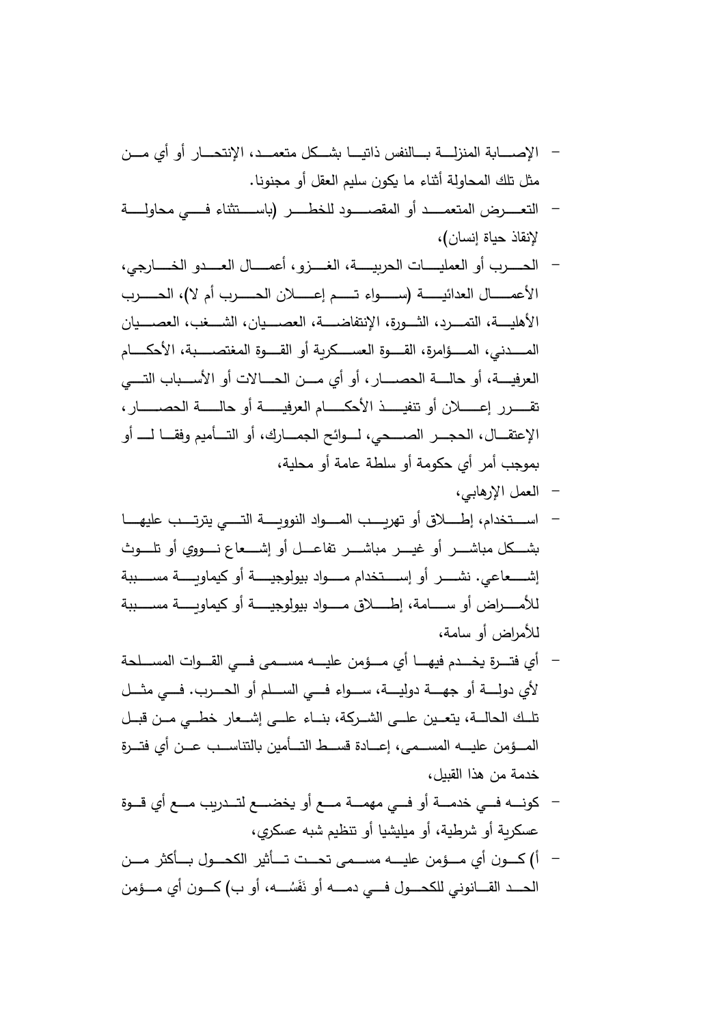- الإصــــابة المنزلــــة بــــالنفس ذاتيــــا بشـــكل متعمـــد، الإنتحـــار أو أي مـــن مثل تلك المحاولة أثناء ما يكون سليم العقل أو مجنونا.
- التعـــــــرض المتعمـــــد أو المقصـــــــود للخطــــــر (باســــتثناء فــــــى محاولـــــة لإنقاذ حياة إنسان)،
- الحـــــرب أو العمليـــــات الحربيـــــة، الغــــزو ، أعمــــال العــــدو الخـــــارجى، علأا برــــــــحـلا لا)، مأ برــــــــحـلا نــــــــلاعـإ مــــــــتـ اءوــــــــسـ (ةــــــــیـئادعلا لاــــــــمـ الأهليــــة، التمــــرد، الثــــورة، الإنتفاضــــة، العصــــيان، الشــــغب، العصــــيان المــــــدنـى، المـــــؤامرة، القــــــوة الـعســـــكريـة أو القـــــوة المغتصـــــبة، الأحكـــــــام العرفيــــة، أو حالــــة الحصـــــار ، أو أي مـــن الحــــالات أو الأســـباب التــــي ةیــــــــفرعلا ماــــــــكـحلأا ذیــــــــفنت وأ نعــــــــلاإ ررقــــــــت ر،اــــــــصـحلا ةلــــــــاح وأ الإعتقـــال، الحجـــر الصــــحى، لـــوائح الجمـــارك، أو التـــأميم وفقـــا لـــــ أو بموجب أمر أي حكومة أو سلطة عامة أو محلية،
	- العمل الإرهابي،
- اســــتخدام، إطــــــلاق أو تهربــــب المــــواد النووبــــة التـــــى يترتــــب عليهــــا بشـــكل مباشـــــر أو غيـــــر مباشـــــر تفاعــــل أو إشــــعاع نـــــووي أو تلـــــوث إشـــــعاعى. نشــــــر أو إســـــتخدام مـــــواد بيولوجيـــــة أو كيماويـــــة مســـــببة للأمـــــراض أو ســــــامة، إطــــــلاق مـــــواد بيولوجيـــــة أو كيماوىـــــة مســـــببة للأمراض أو سامة،
- أي فتـــرة يخـــدم فيهــــا أي مــــؤمن عليــــه مســـمـي فــــي القـــوات المســـلحة لأي دولـــــة أو جهـــــة دوليــــة، ســــواء فــــي الســــلم أو الحــــرب. فـــي مثـــل تلــك الحالــة، يتعــين علــي الشــركة، بنــاء علــي إشــعار خطــي مــن قبــل المـــؤمن عليـــه المســمـى، إعـــادة قســط التـــأمين بالتناســب عـــن أي فتـــرة خدمة من هذا القبيل،
- كونــــه فـــى خدمــــة أو فـــى مهمــــة مـــع أو يخضــــع لتـــدريب مـــع أي قـــوة عسكرية أو شرطية، أو ميليشيا أو تنظيم شبه عسكرى،
- أ) كـــون أى مـــؤمن عليــــه مســـمى تحـــت تـــأشر الكحـــول بـــأكثر مـــن الحـــد القـــــانونـي للكحــــول فــــي دمــــــه أو نَفَسُـــــه، أو ب) كــــون أي مــــؤمن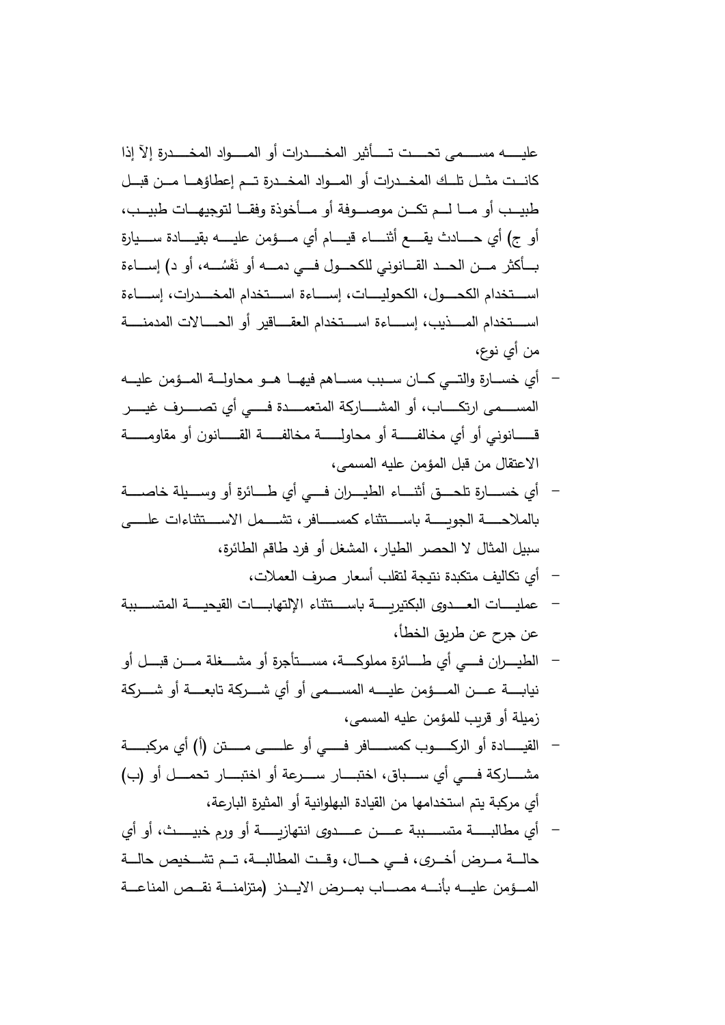عليـــــــه مســـــمى تحــــت تـــــأثير المخــــدرات أو المــــــواد المخـــــدرة إلآ إذا كانــت مثــل تلــك المخـــدرات أو المـــواد المخـــدرة تـــم إعطاؤهـــا مـــن قبــل طبيــب أو مـــا لـــم تكـــن موصــــوفة أو مـــأخوذة وفقــا لتوجيهـــات طبيـــب، أو ج) أي حـــــــادث يقـــــع أثنـــــــاء قيــــــام أي مـــــؤمن عليــــــه بقيـــــادة ســـــيارة بــــأكثر مــــن الـحــــد القـــــانونـي للكحــــول فــــي دمـــــه أو نفَسُـــــه، أو د) إســــاءة اســـتخدام الكحـــول، الكحوليــــات، إســــاءة اســـتخدام المخــــدرات، إســــاءة اســــتخدام المـــــذيب، إســـــاءة اســــتخدام العقــــاقير أو الحــــالات المدمنــــة من أي نوع،

- أي خســارة والتــي كــان ســبب مســاهم فيهــا هــو محاولـــة المــؤمن عليــه المســــمي ارتكـــــــــاب، أو المشـــــــاركـة المتعمـــــدة فــــــى أي تصــــــرف غيــــــر قــــــــانونــ<sub>ى</sub> أو أي مخالفــــــة أو محاولـــــــة مخالفـــــة القــــــانون أو مقاومــــــة الاعتقال من قبل المؤمن عليه المسمى،
- أي خســــارة تلحــــق أثنــــاء الطيــــران فـــي أي طــــائرة أو وســـيلة خاصــــة بالملاحــــة الجوبـــــة باســــتثناء كمســــافر ، تشــــمل الاســـتثناءات علـــــى سبيل المثال لا الحصر الطيار ، المشغل أو فرد طاقم الطائرة،
	- أي تكاليف متكبدة نتيجة لتقلب أسعار صرف العملات،
- عمليــــات العـــدوى البكتيرىـــــة باســـتثناء الإلتهابـــات القيحيــــة المتســـببة عن جرح عن طربق الخطأ،
- الطيـــــران فـــــي أي طـــــائرةِ مملوكــــة، مســــتأجرةِ أو مشــــغلة مــــن قبــــل أو نيابـــــة عــــن المــــؤمن عليـــــه المســــمـى أو أي شـــــركة تابعــــة أو شــــركة زميلة أو قريب للمؤمن عليه المسمى،
- ىـــــــلـع وأ يـــــــ فـرافـــــــسـم بوـــــــ ـرلا وأ ةداـــــــیـقلا نتـــــــمـ ةـــــــبـ رم يأ أ)( مشــــــاركة فــــي أي ســـــباق، اختبـــــار ســــرعة أو اختبــــار تحمــــل أو (ب) أي مركبة يتم استخدامها من القيادة البهلوانية أو المثيرة البارعة،
- أي مطالبــــــــة متســـــــببة عــــــن عـــــدوى انتهازيــــــة أو ورم خبيـــــث، أو أي حالـــة مـــرض أخــرى، فـــي حـــال، وقــت المطالبـــة، تـــم تشـــخيص حالـــة المـــؤمن عليــــه بأنــــه مصـــــاب بمـــرض الايـــدز (متزامنــــة نقــص المناعـــة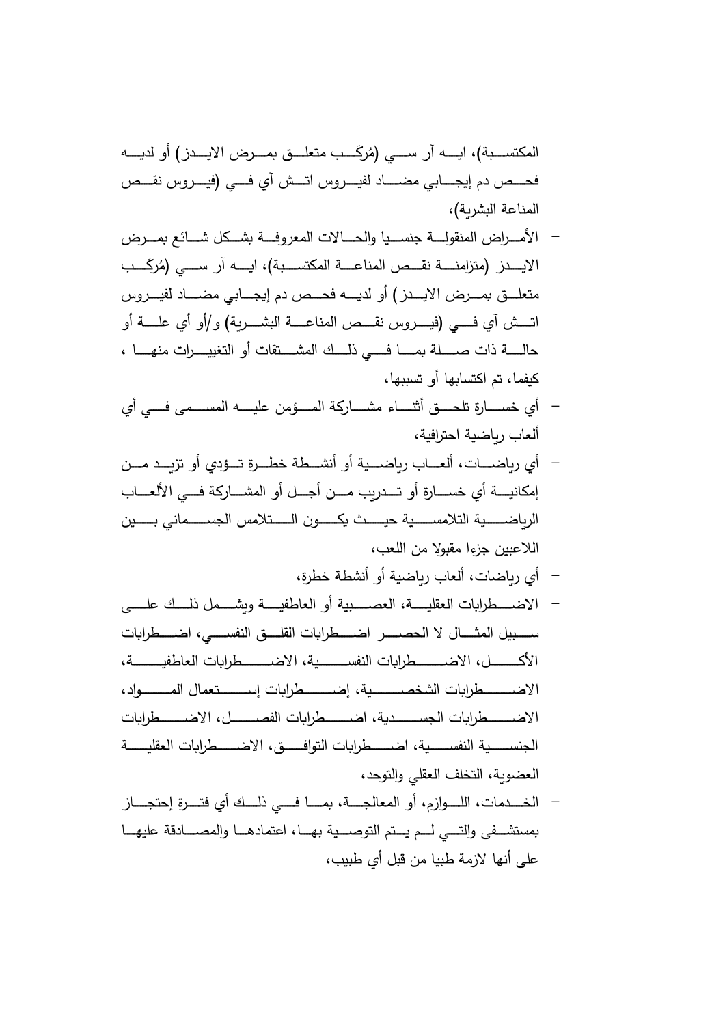المكتســـبة)، ايـــــه آر ســــي (مُركَـــب متعلـــق بمـــرض الايــــــــز) أو لديـــــه فحـــص دم إيجـــــابـي مضــــــاد لفيـــــروس اتــــش آي فــــي (فيــــروس نقـــص المناعة البشربة)،

- الأمـــراض المنقولــــة جنســـيا والحــــالات المعروفـــة بشـــكل شــــائـع بمـــرض َ ـــــیـلاا رم (يـــــسـ رآ هـــــ ـا ة)،بـــــسـتكملا ةـــــعـانملا صـــــقـن ةـــــنـمازتم (زد ُ بــــــ متعلـــق بمـــرض الايـــدز ) أو لديــــه فحـــص دم إيجــــابي مضـــــاد لفيـــروس اتــــش آي فــــي (فيــــــروس نقــــص المناعــــة البشــــــرية) و/أو أي علـــــة أو حالـــــة ذات صـــــلة بمـــــــــا فـــــى ذلــــك المشـــــتقات أو التغييـــــرات منهــــــا ، كبفما، تم اكتسابها أو تسبيها،
- أى خســـــارة تلحــــق أثنـــــاء مشـــــاركة المــــؤمن عليـــــه المســــمى فــــي أي ألعاب رياضية احترافية،
- أي رباضــــات، ألعـــاب رباضــــية أو أنشـــطة خطـــرة تـــؤدي أو تزبـــد مـــن إمكانيـــــة أي خســــــارة أو تــــدريب مــــن أجــــل أو المشــــاركـة فــــى الألـعــــاب الرياضــــــية التلامســـــية حيـــــث يكـــــون الـــــتلامس الجســــمانى بـــــين اللاعبين جزءا مقبولا من اللعب،
	- أي رباضات، ألعاب رباضية أو أنشطة خطرة،
- الاضـــطرابات العقليــــة، العصـــــبية أو العاطفيــــة ويشــــمل ذلـــك علــــي ســـــبيل المثـــــال لا الـحصــــــر اضـــــطرابات القلــــق النفســـــى، اضـــــطرابات الأكـــــــــــــــــــــــــــــطرابات النفســــــــــية، الاضــــــــــطرابات العاطفيـــــــــة، الاضـــــــطرابات الشخصــــــــية، إضــــــــطرابات إســـــــتعمال المــــــــواد، الاضـــــطرابات الجســـــــدية، اضـــــــطرابات الفصــــــل، الاضــــــطرابات الجنســـــية النفســـــية، اضــــــطرابات التوافـــــق، الاضــــــطرابات العقليـــــة العضوبة، التخلف العقلي والتوحد،
- الخـــــدمات، اللـــــوازم، أو المعالجـــــة، بمــــــا فـــــى ذلــــك أي فتــــرة إحتجـــــاز بمستشــفي والتـــي لـــم يـــتم التوصـــية بهـــا، اعتمادهــا والمصــــادقة عليهـــا على أنها لازمة طبيا من قبل أى طبيب،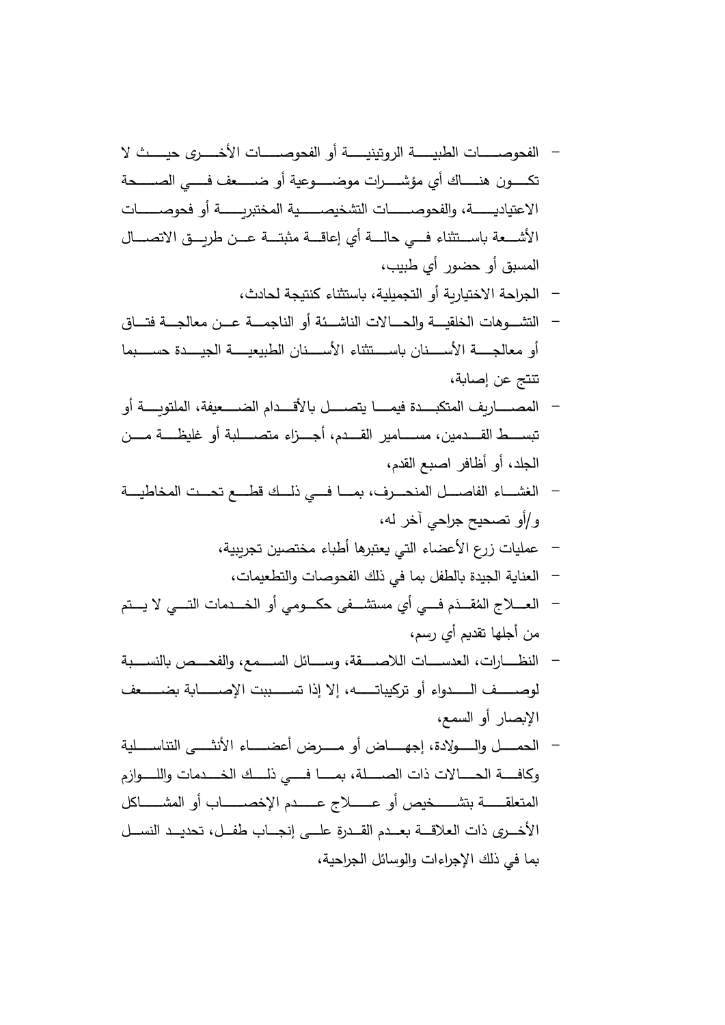- ةــــــــیـبطلا تاــــــــصـوحفلا رــــــــخـلأا تاــــــــصـوحفلا وأ ةــــــــیـنیتورلا ى یح لا ثــــــــ وـــــــكـت ن ةحـــــــصـلا يـــــــ فـعفـــــــضـ وأ ةیعوـــــــضـوم تارـــــــشـؤم يأ اكـــــــنـه تاـــــــــصـوح فوأ ةـــــــــ ـربتخملا ةیـــــــــصـیخشتلا تاـــــــــصـوحفلاو ة،ـــــــــ ـدایتعلاا لاــــصـتلاا قــــ ـرط نــــعـ ةــــتـبثم ةــــاقـعإ يأ ةــــلـاح يــــ فـاءنثتــــسـا ةعــــشـلأا ، بیبي طأر وضحو أبق لمسا - ةحاجرال أو ة راختیلاا ،ثداحل ةج نتی ءاستثنا ،ةلیمیجلتا - تاهوــــشـتلا قاتـــــ فةــــجـلاعم نعـــــ ةــــمـجانلا وأ ةئــــشـانلا تلااحـــــلاو ةــــیـقلخلا وأ امبســـــــح ةدیـــــــجلا ةیـــــــعیبطلا نانســـــــلأا اءنثتســـــــا نانســـــــلأا ةجـــــــلاعم تنتج ن ع ، ةاصإ - وأ ة ــــــوتلملا ة،فیعضــــــلا مادلأقــــــا لصــــــتی امــــــی فةدبــــــكتملا ف راـــــصـملا سـبت نـــــمـ ةـــــظـیلغ وأ ةبلـــــصـتم اءزـــــجـأ م،دـــــقـلا ریماـــــسـم ،نیمدـــــقـلا طــــــ ،مدق العبص افراظ أو أ،دجلال - ةـــــیـطاخملا تـــــحـت عـــــطـق ـــــكلـذ يـــــ فـاـــــمـ ف،رـــــحـنملا لـــــصـافلا اءـــــشـغلا أ/و ياحر جحیتصح و ،ه لخرآ - يت الءاضعلأ اعر زتایملع اهرعتب صینختم ءاطبأ ة بیرجت ، - ، تایمتطعلاوت اصوحفلاك لذي فا مل فلطا ة دیجلاة انلعا ُ <sup>م</sup> ــــفـ متــــیـ لا يــــتـلا تامدــــخـلا وأ يموــــكـح ىفــــشـتسم يأ ي َ - دــــقـملا جــــلاعـلا ، مسري أم دقتا لهجأن م - ةبـــــسـنلا صـــــحـفلاو ع،مـــــسـلا لئاـــــسـو ة،قـــــصـللاا تاـــــسـدعلا ت،اراـــــظـنلا صــــــــفول عفضــــــــ ة اصــــــــلإا تببســــــــت اذإ لاإ ،هتــــــــابی رت وأ اءودلــــــــا ا ، علسماو أر اص لإ - وأ ضاـــــــهـجإ ،ةدلاوـــــــلـاو لـــــــمـحلا ةیلـــــــسـانتلا ىـــــــثـنلأا اءـــــــضـعأ ضرـــــــمـ افـ و تلااــــــحـلا ةــــــ مزاوــــــلـلاو تامدــــــخـلا ــــــكلـذ يــــــ فـاــــــمـ ة،لــــــصـلا تاذ لكاـــــــــشـملا وأ باـــــــــصـخلإا مدـــــــــعـ جـــــــــلاعـ وأ صیخـــــــــشـتب ةـــــــــقـلعتملا الأ رخــــ ى لــــسـنلا دیــــدحت ل،فــــط باــــجـنإ ىلــــع ةردقــــلا مدــــعـ ةعلاقــــلا تاذ ،ةیحاجر الئلاسوالو تءااجرلإ اكذل يف ام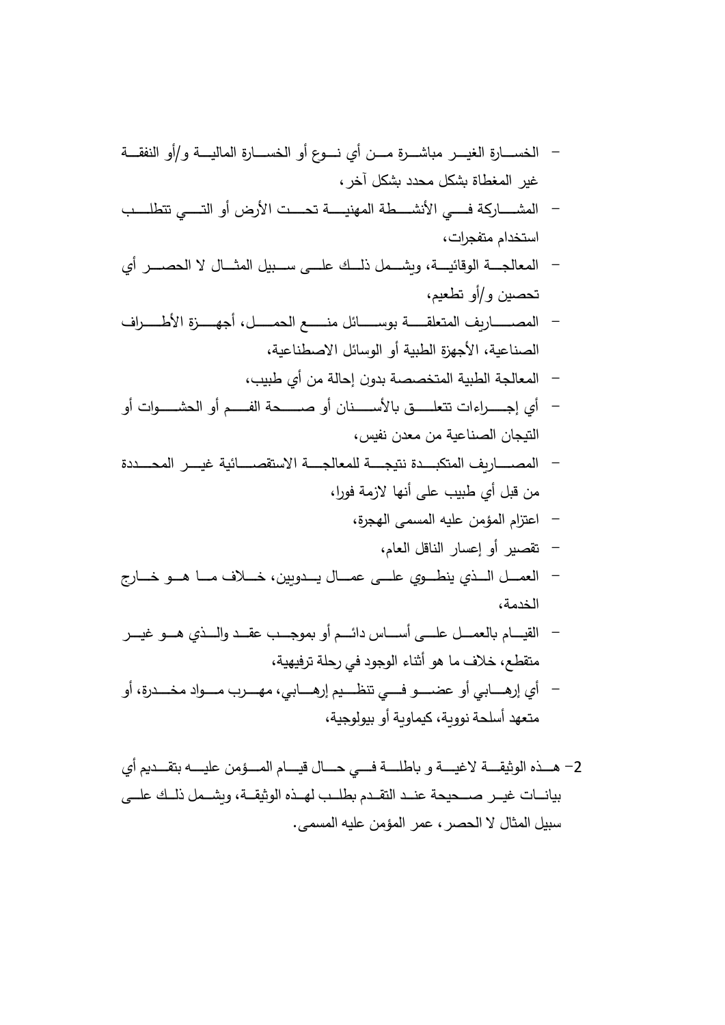- ةرــــشـابم رــــیـغلا ةراــــسـخلا ةــــقـفنلا وأو/ ةــــیـلاملا ةراــــسـخلا وأ عوــــنـ يأ نــــمـ الیرغ غم ، رخل آ شكد دحل م شكة اط

- المشــــــاركة فــــى الأنشــــطة المهنيــــة تحــــت الأرض أو التــــى تتطلــــب استخدام متفجرات،
- المعالجـــة الوقائيـــة، وبشـــمل ذلــك علــــى ســـبيل المثـــال لا الحصــــر أي تحصين و/أو تطعيم،
- المصـــــــــاريف المتعلقـــــــة بوســـــــائل منـــــــع الحمــــــل، أجهــــــزة الأطـــــــراف الصناعية، الأجهزة الطبية أو الوسائل الاصطناعية،
	- المعالجة الطبية المتخصصة بدون إحالة من أي طبيب،
- أي إجــــــراءات تتعلــــــق بالأســـــنان أو صــــــحة الفــــم أو الحشـــــوات أو التیجان الصناعیة من معدن نفس،
- المصـــــاريف المتكبـــدة نتيجــــة للمعالجــــة الاستقصــــائية غيــــر المحــــددة من قبل أى طبيب على أنها لازمة فورا،
	- اعتزام المؤمن عليه المسمى الهجرة،
		- تقصير أو إعسار الناقل العام،
- العمـــل الـــذي ينطـــوي علـــى عمـــال يـــدويين، خـــلاف مـــا هـــو خـــارج الخدمة،
- القيــــام بالـعمــــل علــــي أســـــاس دائــــم أو بموجــــب عقـــد والــــذي هـــو غيـــر متقطع، خلاف ما هو أثناء الوجود في رحلة ترفيهية،
- أي إرهــــابـي أو عضـــــو فـــــي تنظــــيم إرهـــــابـي، مهـــــرب مــــوإد مخــــدرة، أو متعهد أسلحة نووية، كيماوية أو بيولوجية،
- 2– هـــذه الوثيقــــة لاغيــــة و باطلــــة فــــي حــــال قيــــام المــــؤمن عليــــه بتقـــديم أي بيانـــات غيـــر صــــحيحة عنــد التقــدم بطلــب لهــذه الوثيقــة، ويشــمل ذلــك علـــي سبیل المثال لا الحصر ، عمر المؤمن علیه المسمى.